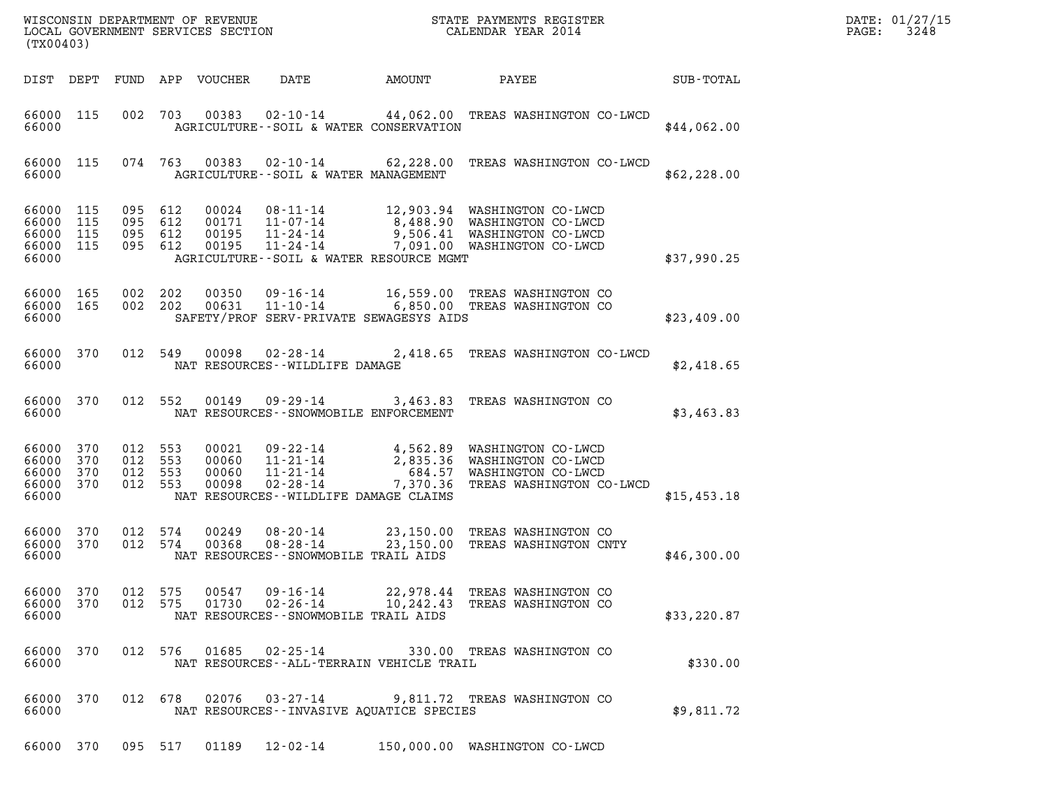| WISCONSIN DEPARTMENT OF REVENUE<br>STATE PAYMENTS REGISTER<br>LOCAL GOVERNMENT SERVICES SECTION<br>CALENDAR YEAR 2014<br>(TX00403) |                   |                                  |                       |                                  |                                                                                                          |                                             |                                                                                                                              |                  | DATE: 01/27/15<br>3248<br>PAGE: |
|------------------------------------------------------------------------------------------------------------------------------------|-------------------|----------------------------------|-----------------------|----------------------------------|----------------------------------------------------------------------------------------------------------|---------------------------------------------|------------------------------------------------------------------------------------------------------------------------------|------------------|---------------------------------|
| DIST DEPT                                                                                                                          |                   |                                  |                       | FUND APP VOUCHER                 | DATE                                                                                                     | AMOUNT                                      | PAYEE                                                                                                                        | <b>SUB-TOTAL</b> |                                 |
| 66000 115<br>66000                                                                                                                 |                   | 002                              | 703                   | 00383                            | $02 - 10 - 14$                                                                                           | AGRICULTURE--SOIL & WATER CONSERVATION      | 44,062.00 TREAS WASHINGTON CO-LWCD                                                                                           | \$44,062.00      |                                 |
| 66000 115<br>66000                                                                                                                 |                   |                                  | 074 763               | 00383                            | AGRICULTURE--SOIL & WATER MANAGEMENT                                                                     |                                             | 02-10-14 62,228.00 TREAS WASHINGTON CO-LWCD                                                                                  | \$62, 228.00     |                                 |
| 66000<br>66000<br>66000<br>66000 115<br>66000                                                                                      | 115<br>115<br>115 | 095 612<br>095<br>095<br>095 612 | 612<br>612            | 00024<br>00171<br>00195<br>00195 | 08-11-14<br>11-07-14<br>11-24-14<br>$11 - 24 - 14$                                                       | AGRICULTURE--SOIL & WATER RESOURCE MGMT     | 12,903.94 WASHINGTON CO-LWCD<br>8,488.90 WASHINGTON CO-LWCD<br>9,506.41 WASHINGTON CO-LWCD<br>7,091.00 WASHINGTON CO-LWCD    | \$37,990.25      |                                 |
| 66000<br>66000 165<br>66000                                                                                                        | 165               | 002 202                          | 002 202               | 00350<br>00631                   | $09 - 16 - 14$<br>$11 - 10 - 14$                                                                         | SAFETY/PROF SERV-PRIVATE SEWAGESYS AIDS     | 16,559.00 TREAS WASHINGTON CO<br>6,850.00 TREAS WASHINGTON CO                                                                | \$23,409.00      |                                 |
| 66000 370<br>66000                                                                                                                 |                   | 012 549                          |                       | 00098                            | 02-28-14<br>NAT RESOURCES--WILDLIFE DAMAGE                                                               |                                             | 2,418.65 TREAS WASHINGTON CO-LWCD                                                                                            | \$2,418.65       |                                 |
| 66000 370<br>66000                                                                                                                 |                   |                                  | 012 552               | 00149                            | 09 - 29 - 14<br>NAT RESOURCES - - SNOWMOBILE ENFORCEMENT                                                 |                                             | 3,463.83 TREAS WASHINGTON CO                                                                                                 | \$3,463.83       |                                 |
| 66000<br>66000<br>66000<br>66000 370<br>66000                                                                                      | 370<br>370<br>370 | 012 553<br>012<br>012            | 553<br>553<br>012 553 | 00021<br>00060<br>00060<br>00098 | 09 - 22 - 14<br>11-21-14<br>$11 - 21 - 14$<br>$02 - 28 - 14$<br>NAT RESOURCES - - WILDLIFE DAMAGE CLAIMS |                                             | 4,562.89 WASHINGTON CO-LWCD<br>2,835.36 WASHINGTON CO-LWCD<br>684.57 WASHINGTON CO-LWCD<br>7,370.36 TREAS WASHINGTON CO-LWCD | \$15,453.18      |                                 |
| 66000 370<br>66000 370<br>66000                                                                                                    |                   | 012 574<br>012 574               |                       | 00249<br>00368                   | $08 - 20 - 14$<br>$08 - 28 - 14$<br>NAT RESOURCES - - SNOWMOBILE TRAIL AIDS                              |                                             | 23,150.00 TREAS WASHINGTON CO<br>23,150.00 TREAS WASHINGTON CNTY                                                             | \$46,300.00      |                                 |
| 66000 370<br>66000 370<br>66000                                                                                                    |                   | 012 575                          | 012 575               | 00547<br>01730                   | 09-16-14<br>$02 - 26 - 14$<br>NAT RESOURCES - - SNOWMOBILE TRAIL AIDS                                    | 10,242.43                                   | 22,978.44 TREAS WASHINGTON CO<br>TREAS WASHINGTON CO                                                                         | \$33, 220.87     |                                 |
| 66000<br>66000                                                                                                                     | 370               |                                  | 012 576               | 01685                            | $02 - 25 - 14$                                                                                           | NAT RESOURCES - - ALL-TERRAIN VEHICLE TRAIL | 330.00 TREAS WASHINGTON CO                                                                                                   | \$330.00         |                                 |
| 66000<br>66000                                                                                                                     | 370               | 012 678                          |                       | 02076                            | $03 - 27 - 14$                                                                                           | NAT RESOURCES -- INVASIVE AQUATICE SPECIES  | 9,811.72 TREAS WASHINGTON CO                                                                                                 | \$9,811.72       |                                 |
| 66000 370                                                                                                                          |                   |                                  | 095 517               | 01189                            | 12-02-14                                                                                                 |                                             | 150,000.00 WASHINGTON CO-LWCD                                                                                                |                  |                                 |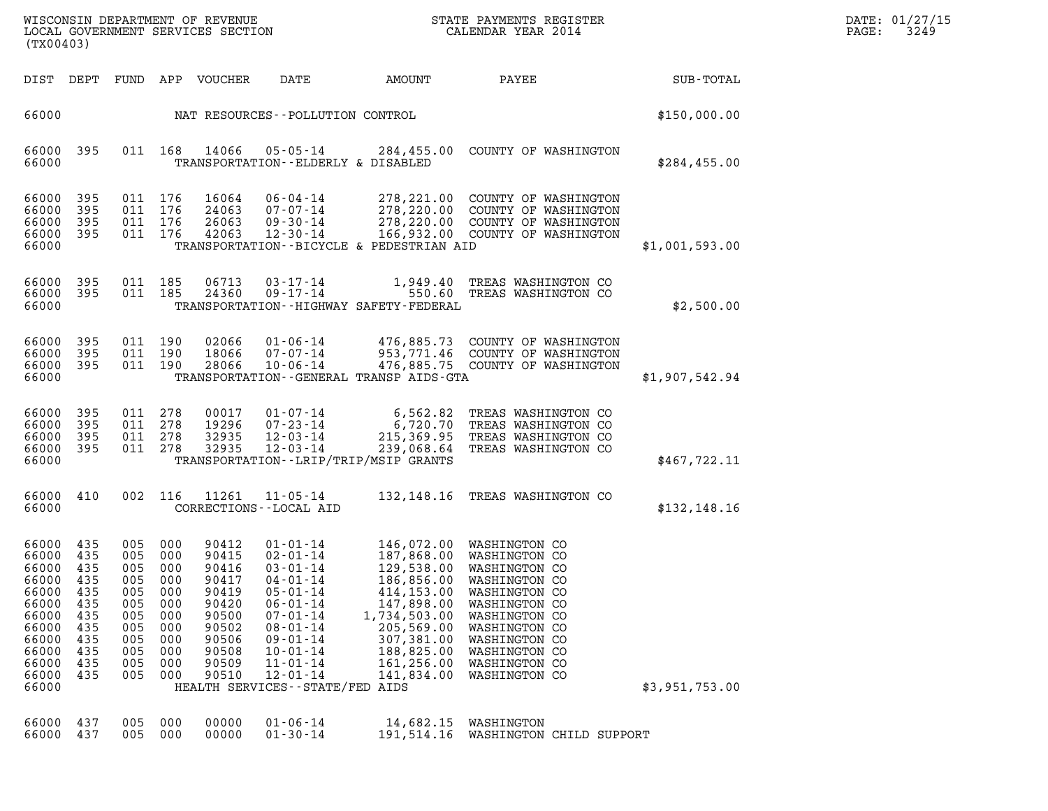| DATE: | 01/27/15 |
|-------|----------|
| PAGE: | 3249     |

| WISCONSIN DEPARTMENT OF REVENUE<br>LOCAL GOVERNMENT SERVICES SECTION<br>(TX00403)                                 |                                                                                  |                                                                                  |                                                                                  |                                                                                                          |                                                                                                                                                                                                                                                            |                                                                                                                                            | STATE PAYMENTS REGISTER<br>CALENDAR YEAR 2014                                                                                                                                                                                  |                | DATE: 01/27/15<br>3249<br>PAGE: |
|-------------------------------------------------------------------------------------------------------------------|----------------------------------------------------------------------------------|----------------------------------------------------------------------------------|----------------------------------------------------------------------------------|----------------------------------------------------------------------------------------------------------|------------------------------------------------------------------------------------------------------------------------------------------------------------------------------------------------------------------------------------------------------------|--------------------------------------------------------------------------------------------------------------------------------------------|--------------------------------------------------------------------------------------------------------------------------------------------------------------------------------------------------------------------------------|----------------|---------------------------------|
| DIST DEPT FUND                                                                                                    |                                                                                  |                                                                                  |                                                                                  | APP VOUCHER                                                                                              | DATE                                                                                                                                                                                                                                                       | AMOUNT                                                                                                                                     | PAYEE                                                                                                                                                                                                                          | SUB-TOTAL      |                                 |
| 66000                                                                                                             |                                                                                  |                                                                                  |                                                                                  |                                                                                                          | NAT RESOURCES - - POLLUTION CONTROL                                                                                                                                                                                                                        |                                                                                                                                            |                                                                                                                                                                                                                                | \$150,000.00   |                                 |
| 66000<br>66000                                                                                                    | 395                                                                              |                                                                                  | 011 168                                                                          | 14066                                                                                                    | 05-05-14<br>TRANSPORTATION--ELDERLY & DISABLED                                                                                                                                                                                                             |                                                                                                                                            | 284,455.00 COUNTY OF WASHINGTON                                                                                                                                                                                                | \$284,455.00   |                                 |
| 66000<br>66000<br>66000<br>66000 395<br>66000                                                                     | 395<br>395<br>- 395                                                              | 011 176<br>011 176<br>011 176<br>011 176                                         |                                                                                  | 16064<br>24063<br>26063<br>42063                                                                         | 06-04-14<br>$07 - 07 - 14$<br>$09 - 30 - 14$<br>$12 - 30 - 14$                                                                                                                                                                                             | TRANSPORTATION--BICYCLE & PEDESTRIAN AID                                                                                                   | 278, 221.00 COUNTY OF WASHINGTON<br>278,220.00 COUNTY OF WASHINGTON<br>278,220.00 COUNTY OF WASHINGTON<br>166,932.00 COUNTY OF WASHINGTON                                                                                      | \$1,001,593.00 |                                 |
| 66000 395<br>66000<br>66000                                                                                       | 395                                                                              | 011 185<br>011 185                                                               |                                                                                  | 06713<br>24360                                                                                           | $03 - 17 - 14$<br>$09 - 17 - 14$                                                                                                                                                                                                                           | 550.60<br>TRANSPORTATION - - HIGHWAY SAFETY - FEDERAL                                                                                      | 1,949.40 TREAS WASHINGTON CO<br>TREAS WASHINGTON CO                                                                                                                                                                            | \$2,500.00     |                                 |
| 66000<br>66000<br>66000<br>66000                                                                                  | 395<br>- 395<br>395                                                              | 011 190<br>011 190<br>011 190                                                    |                                                                                  | 02066<br>18066<br>28066                                                                                  | $01 - 06 - 14$<br>$07 - 07 - 14$<br>$10 - 06 - 14$                                                                                                                                                                                                         | TRANSPORTATION--GENERAL TRANSP AIDS-GTA                                                                                                    | 476,885.73 COUNTY OF WASHINGTON<br>953,771.46 COUNTY OF WASHINGTON<br>476,885.75 COUNTY OF WASHINGTON                                                                                                                          | \$1,907,542.94 |                                 |
| 66000<br>66000<br>66000<br>66000 395<br>66000                                                                     | 395<br>395<br>- 395                                                              | 011 278<br>011 278<br>011 278<br>011 278                                         |                                                                                  | 00017<br>19296<br>32935<br>32935                                                                         | $01 - 07 - 14$<br>$07 - 23 - 14$<br>$12 - 03 - 14$<br>$12 - 03 - 14$                                                                                                                                                                                       | 6,562.82<br>239,068.64<br>TRANSPORTATION - - LRIP/TRIP/MSIP GRANTS                                                                         | TREAS WASHINGTON CO<br>6,720.70 TREAS WASHINGTON CO<br>215,369.95 TREAS WASHINGTON CO<br>TREAS WASHINGTON CO                                                                                                                   | \$467,722.11   |                                 |
| 66000 410<br>66000                                                                                                |                                                                                  |                                                                                  | 002 116                                                                          | 11261                                                                                                    | 11-05-14<br>CORRECTIONS - - LOCAL AID                                                                                                                                                                                                                      |                                                                                                                                            | 132,148.16 TREAS WASHINGTON CO                                                                                                                                                                                                 | \$132,148.16   |                                 |
| 66000<br>66000<br>66000<br>66000<br>66000<br>66000<br>66000<br>66000<br>66000<br>66000<br>66000<br>66000<br>66000 | 435<br>435<br>435<br>435<br>435<br>435<br>435<br>435<br>435<br>435<br>435<br>435 | 005<br>005<br>005<br>005<br>005<br>005<br>005<br>005<br>005<br>005<br>005<br>005 | 000<br>000<br>000<br>000<br>000<br>000<br>000<br>000<br>000<br>000<br>000<br>000 | 90412<br>90415<br>90416<br>90417<br>90419<br>90420<br>90500<br>90502<br>90506<br>90508<br>90509<br>90510 | $01 - 01 - 14$<br>$02 - 01 - 14$<br>$03 - 01 - 14$<br>$04 - 01 - 14$<br>$05 - 01 - 14$<br>$06 - 01 - 14$<br>$07 - 01 - 14$<br>$08 - 01 - 14$<br>$09 - 01 - 14$<br>$10 - 01 - 14$<br>$11 - 01 - 14$<br>$12 - 01 - 14$<br>HEALTH SERVICES - - STATE/FED AIDS | 129,538.00<br>186,856.00<br>414,153.00<br>147,898.00<br>1,734,503.00<br>205,569.00<br>307,381.00<br>188,825.00<br>161,256.00<br>141,834.00 | 146,072.00 WASHINGTON CO<br>187,868.00 WASHINGTON CO<br>WASHINGTON CO<br>WASHINGTON CO<br>WASHINGTON CO<br>WASHINGTON CO<br>WASHINGTON CO<br>WASHINGTON CO<br>WASHINGTON CO<br>WASHINGTON CO<br>WASHINGTON CO<br>WASHINGTON CO | \$3,951,753.00 |                                 |
| 66000<br>66000                                                                                                    | 437<br>437                                                                       | 005<br>005                                                                       | 000<br>000                                                                       | 00000<br>00000                                                                                           | $01 - 06 - 14$<br>$01 - 30 - 14$                                                                                                                                                                                                                           | 14,682.15<br>191,514.16                                                                                                                    | WASHINGTON<br>WASHINGTON CHILD SUPPORT                                                                                                                                                                                         |                |                                 |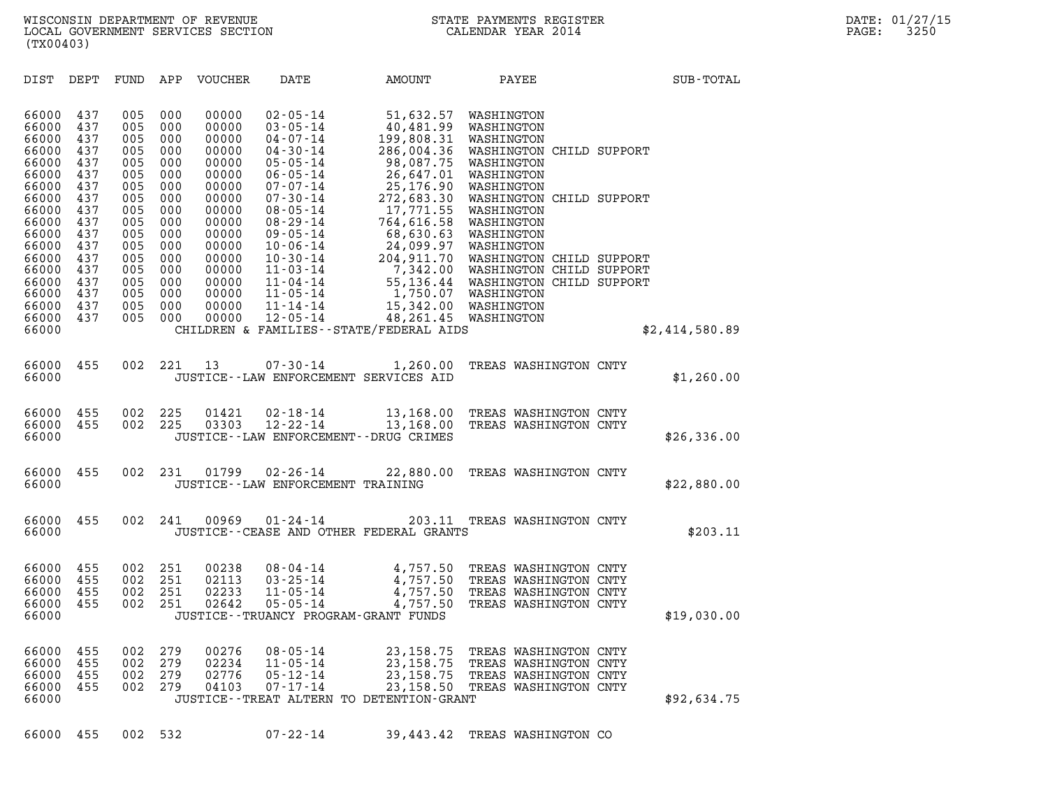| (TX00403)                                 |                                 |                                 |                                 |                                           |                                                                                        |                                                                             |                                                                                                                                           |                |  |
|-------------------------------------------|---------------------------------|---------------------------------|---------------------------------|-------------------------------------------|----------------------------------------------------------------------------------------|-----------------------------------------------------------------------------|-------------------------------------------------------------------------------------------------------------------------------------------|----------------|--|
| DIST                                      | DEPT                            | FUND                            | APP                             | VOUCHER                                   | DATE                                                                                   | AMOUNT                                                                      | PAYEE                                                                                                                                     | SUB-TOTAL      |  |
| 66000<br>66000<br>66000<br>66000          | 437<br>437<br>437<br>437        | 005<br>005<br>005<br>005        | 000<br>000<br>000<br>000        | 00000<br>00000<br>00000<br>00000          | $02 - 05 - 14$<br>$03 - 05 - 14$<br>$04 - 07 - 14$<br>$04 - 30 - 14$                   | 51,632.57<br>40,481.99<br>199,808.31<br>286,004.36                          | WASHINGTON<br>WASHINGTON<br>WASHINGTON<br>WASHINGTON CHILD SUPPORT                                                                        |                |  |
| 66000<br>66000<br>66000<br>66000<br>66000 | 437<br>437<br>437<br>437<br>437 | 005<br>005<br>005<br>005<br>005 | 000<br>000<br>000<br>000<br>000 | 00000<br>00000<br>00000<br>00000<br>00000 | $05 - 05 - 14$<br>$06 - 05 - 14$<br>$07 - 07 - 14$<br>$07 - 30 - 14$<br>$08 - 05 - 14$ | 98,087.75<br>26,647.01<br>25,176.90<br>272,683.30<br>17,771.55              | WASHINGTON<br>WASHINGTON<br>WASHINGTON<br>WASHINGTON CHILD SUPPORT<br>WASHINGTON                                                          |                |  |
| 66000<br>66000<br>66000<br>66000<br>66000 | 437<br>437<br>437<br>437<br>437 | 005<br>005<br>005<br>005<br>005 | 000<br>000<br>000<br>000<br>000 | 00000<br>00000<br>00000<br>00000<br>00000 | $08 - 29 - 14$<br>$09 - 05 - 14$<br>$10 - 06 - 14$<br>$10 - 30 - 14$<br>$11 - 03 - 14$ | 764,616.58<br>68,630.63<br>24,099.97<br>204,911.70                          | WASHINGTON<br>WASHINGTON<br>WASHINGTON<br>WASHINGTON CHILD SUPPORT<br>7,342.00 WASHINGTON CHILD SUPPORT                                   |                |  |
| 66000<br>66000<br>66000<br>66000<br>66000 | 437<br>437<br>437<br>437        | 005<br>005<br>005<br>005        | 000<br>000<br>000<br>000        | 00000<br>00000<br>00000<br>00000          | $11 - 04 - 14$<br>$11 - 05 - 14$<br>$11 - 14 - 14$<br>$12 - 05 - 14$                   | 15,342.00<br>48,261.45<br>CHILDREN & FAMILIES--STATE/FEDERAL AIDS           | 55,136.44 WASHINGTON CHILD SUPPORT<br>1,750.07 WASHINGTON<br>WASHINGTON<br>WASHINGTON                                                     | \$2,414,580.89 |  |
|                                           |                                 |                                 |                                 |                                           |                                                                                        |                                                                             |                                                                                                                                           |                |  |
| 66000<br>66000                            | 455                             | 002                             | 221                             | 13                                        | $07 - 30 - 14$                                                                         | 1,260.00<br>JUSTICE--LAW ENFORCEMENT SERVICES AID                           | TREAS WASHINGTON CNTY                                                                                                                     | \$1,260.00     |  |
| 66000<br>66000<br>66000                   | 455<br>455                      | 002<br>002                      | 225<br>225                      | 01421<br>03303                            | $02 - 18 - 14$<br>$12 - 22 - 14$                                                       | 13,168.00<br>13,168.00<br>JUSTICE - - LAW ENFORCEMENT - - DRUG CRIMES       | TREAS WASHINGTON CNTY<br>TREAS WASHINGTON CNTY                                                                                            | \$26,336.00    |  |
| 66000<br>66000                            | 455                             | 002                             | 231                             | 01799                                     | $02 - 26 - 14$<br>JUSTICE--LAW ENFORCEMENT TRAINING                                    | 22,880.00                                                                   | TREAS WASHINGTON CNTY                                                                                                                     | \$22,880.00    |  |
| 66000<br>66000                            | 455                             | 002                             | 241                             | 00969                                     | $01 - 24 - 14$                                                                         | 203.11<br>JUSTICE--CEASE AND OTHER FEDERAL GRANTS                           | TREAS WASHINGTON CNTY                                                                                                                     | \$203.11       |  |
| 66000<br>66000<br>66000<br>66000<br>66000 | 455<br>455<br>455<br>455        | 002<br>002<br>002<br>002        | 251<br>251<br>251<br>251        | 00238<br>02113<br>02233<br>02642          | $08 - 04 - 14$<br>$03 - 25 - 14$<br>$11 - 05 - 14$<br>$05 - 05 - 14$                   | 4,757.50<br>4,757.50<br>4,757.50<br>JUSTICE - TRUANCY PROGRAM - GRANT FUNDS | TREAS WASHINGTON CNTY<br>4,757.50 TREAS WASHINGTON CNTY<br>TREAS WASHINGTON CNTY<br>TREAS WASHINGTON CNTY                                 | \$19,030.00    |  |
| 66000<br>66000<br>66000<br>66000<br>66000 | 455<br>455<br>455<br>455        | 002<br>002<br>002<br>002        | 279<br>279<br>279<br>279        | 00276<br>02234<br>02776<br>04103          | $08 - 05 - 14$<br>$11 - 05 - 14$<br>$05 - 12 - 14$<br>$07 - 17 - 14$                   | JUSTICE - TREAT ALTERN TO DETENTION - GRANT                                 | 23,158.75 TREAS WASHINGTON CNTY<br>23,158.75 TREAS WASHINGTON CNTY<br>23, 158.75 TREAS WASHINGTON CNTY<br>23,158.50 TREAS WASHINGTON CNTY | \$92,634.75    |  |
| 66000                                     | 455                             | 002                             | 532                             |                                           | $07 - 22 - 14$                                                                         | 39,443.42                                                                   | TREAS WASHINGTON CO                                                                                                                       |                |  |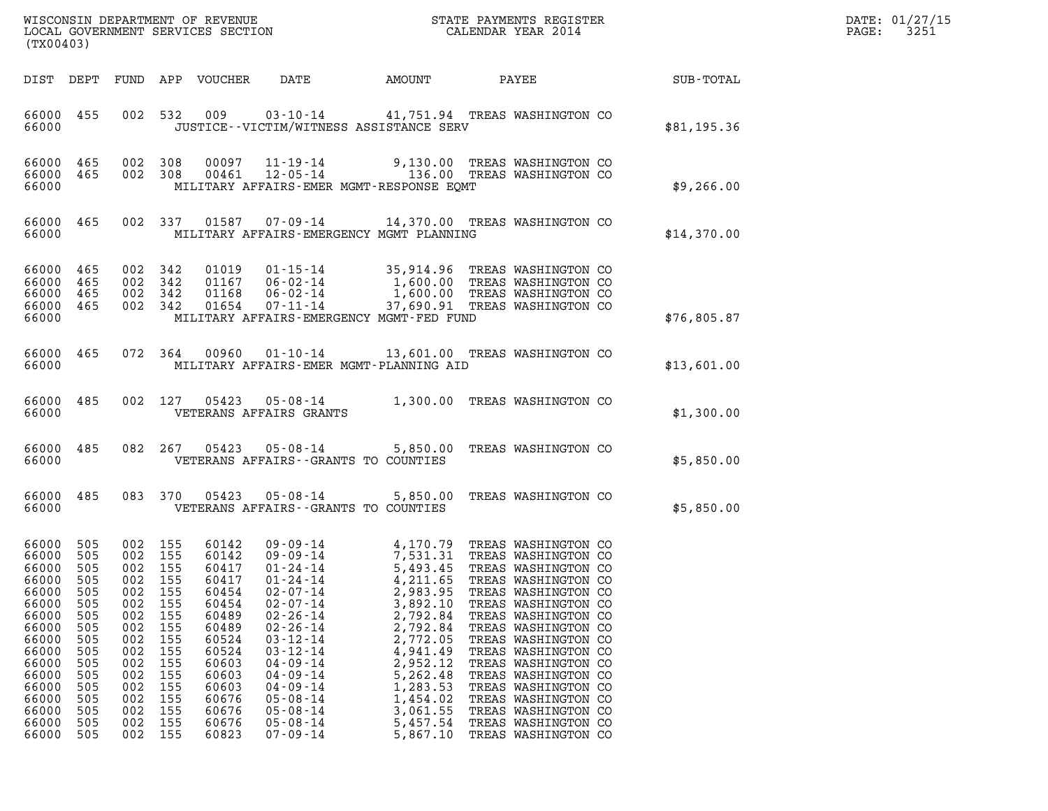| DATE: | 01/27/15 |
|-------|----------|
| PAGE: | 3251     |

| (TX00403)                                                                                                                                                 |                                                                                                              |                                                                                                                                 |                                                                                                |                                                                                                                                                       | WISCONSIN DEPARTMENT OF REVENUE<br>LOCAL GOVERNMENT SERVICES SECTION                                                                                                                                                                                                                                     | STATE PAYMENTS REGISTER<br>CALENDAR YEAR 2014                                                                                                                                                                                                    |                                                                                                                                                                                                                                                                                                                                                       |  |             | DATE: 01/27/15<br>3251<br>$\mathtt{PAGE}$ : |
|-----------------------------------------------------------------------------------------------------------------------------------------------------------|--------------------------------------------------------------------------------------------------------------|---------------------------------------------------------------------------------------------------------------------------------|------------------------------------------------------------------------------------------------|-------------------------------------------------------------------------------------------------------------------------------------------------------|----------------------------------------------------------------------------------------------------------------------------------------------------------------------------------------------------------------------------------------------------------------------------------------------------------|--------------------------------------------------------------------------------------------------------------------------------------------------------------------------------------------------------------------------------------------------|-------------------------------------------------------------------------------------------------------------------------------------------------------------------------------------------------------------------------------------------------------------------------------------------------------------------------------------------------------|--|-------------|---------------------------------------------|
|                                                                                                                                                           |                                                                                                              |                                                                                                                                 |                                                                                                | DIST DEPT FUND APP VOUCHER                                                                                                                            | DATE                                                                                                                                                                                                                                                                                                     | AMOUNT                                                                                                                                                                                                                                           | PAYEE                                                                                                                                                                                                                                                                                                                                                 |  | SUB-TOTAL   |                                             |
| 66000 455<br>66000                                                                                                                                        |                                                                                                              |                                                                                                                                 |                                                                                                | 002 532 009                                                                                                                                           |                                                                                                                                                                                                                                                                                                          | 03-10-14 41,751.94 TREAS WASHINGTON CO<br>JUSTICE - - VICTIM/WITNESS ASSISTANCE SERV                                                                                                                                                             |                                                                                                                                                                                                                                                                                                                                                       |  | \$81,195.36 |                                             |
| 66000 465 002 308<br>66000 465<br>66000                                                                                                                   |                                                                                                              | 002 308                                                                                                                         |                                                                                                | 00097<br>00461                                                                                                                                        |                                                                                                                                                                                                                                                                                                          | 11-19-14 9,130.00 TREAS WASHINGTON CO<br>12-05-14 136.00 TREAS WASHINGTON CO<br>MILITARY AFFAIRS-EMER MGMT-RESPONSE EQMT                                                                                                                         |                                                                                                                                                                                                                                                                                                                                                       |  | \$9,266.00  |                                             |
| 66000 465<br>66000                                                                                                                                        |                                                                                                              |                                                                                                                                 |                                                                                                |                                                                                                                                                       |                                                                                                                                                                                                                                                                                                          | 002 337 01587 07-09-14 14,370.00 TREAS WASHINGTON CO<br>MILITARY AFFAIRS-EMERGENCY MGMT PLANNING                                                                                                                                                 |                                                                                                                                                                                                                                                                                                                                                       |  | \$14,370.00 |                                             |
| 66000<br>66000 465<br>66000<br>66000 465<br>66000                                                                                                         | 465<br>465                                                                                                   | 002 342<br>002 342<br>002 342<br>002 342                                                                                        |                                                                                                | 01019<br>01167<br>01168<br>01654                                                                                                                      | 06-02-14<br>06-02-14<br>07-11-14                                                                                                                                                                                                                                                                         | 01-15-14 35,914.96 TREAS WASHINGTON CO<br>1,600.00 TREAS WASHINGTON CO<br>1,600.00 TREAS WASHINGTON CO<br>MILITARY AFFAIRS-EMERGENCY MGMT-FED FUND                                                                                               | 37,690.91 TREAS WASHINGTON CO                                                                                                                                                                                                                                                                                                                         |  | \$76,805.87 |                                             |
| 66000 465<br>66000                                                                                                                                        |                                                                                                              |                                                                                                                                 |                                                                                                | 072 364 00960                                                                                                                                         |                                                                                                                                                                                                                                                                                                          | 01-10-14 13,601.00 TREAS WASHINGTON CO<br>MILITARY AFFAIRS-EMER MGMT-PLANNING AID                                                                                                                                                                |                                                                                                                                                                                                                                                                                                                                                       |  | \$13,601.00 |                                             |
| 66000 485<br>66000                                                                                                                                        |                                                                                                              |                                                                                                                                 | 002 127                                                                                        |                                                                                                                                                       | VETERANS AFFAIRS GRANTS                                                                                                                                                                                                                                                                                  | 05423  05-08-14  1,300.00  TREAS WASHINGTON CO                                                                                                                                                                                                   |                                                                                                                                                                                                                                                                                                                                                       |  | \$1,300.00  |                                             |
| 66000 485<br>66000                                                                                                                                        |                                                                                                              |                                                                                                                                 | 082 267                                                                                        | 05423                                                                                                                                                 | VETERANS AFFAIRS -- GRANTS TO COUNTIES                                                                                                                                                                                                                                                                   | 05-08-14 5,850.00 TREAS WASHINGTON CO                                                                                                                                                                                                            |                                                                                                                                                                                                                                                                                                                                                       |  | \$5,850.00  |                                             |
| 66000 485<br>66000                                                                                                                                        |                                                                                                              |                                                                                                                                 | 083 370                                                                                        | 05423                                                                                                                                                 | 05-08-14<br>VETERANS AFFAIRS - - GRANTS TO COUNTIES                                                                                                                                                                                                                                                      | 5,850.00 TREAS WASHINGTON CO                                                                                                                                                                                                                     |                                                                                                                                                                                                                                                                                                                                                       |  | \$5,850.00  |                                             |
| 66000 505<br>66000<br>66000<br>66000<br>66000<br>66000<br>66000<br>66000<br>66000<br>66000<br>66000<br>66000<br>66000<br>66000<br>66000<br>66000<br>66000 | 505<br>505<br>505<br>505<br>505<br>505<br>505<br>505<br>505<br>505<br>505<br>505<br>505<br>505<br>505<br>505 | 002 155<br>002 155<br>002 155<br>002<br>002<br>002<br>002<br>002<br>002<br>002<br>002<br>002<br>002<br>002<br>002<br>002<br>002 | 155<br>155<br>155<br>155<br>155<br>155<br>155<br>155<br>155<br>155<br>155<br>155<br>155<br>155 | 60142<br>60142<br>60417<br>60417<br>60454<br>60454<br>60489<br>60489<br>60524<br>60524<br>60603<br>60603<br>60603<br>60676<br>60676<br>60676<br>60823 | 09-09-14<br>$09 - 09 - 14$<br>$01 - 24 - 14$<br>$01 - 24 - 14$<br>$02 - 07 - 14$<br>$02 - 07 - 14$<br>$02 - 26 - 14$<br>$02 - 26 - 14$<br>$03 - 12 - 14$<br>$03 - 12 - 14$<br>$04 - 09 - 14$<br>$04 - 09 - 14$<br>$04 - 09 - 14$<br>$05 - 08 - 14$<br>$05 - 08 - 14$<br>$05 - 08 - 14$<br>$07 - 09 - 14$ | 4,170.79 TREAS WASHINGTON CO<br>7,531.31 TREAS WASHINGTON CO<br>5,493.45<br>4,211.65<br>2,983.95<br>3,892.10<br>2,792.84<br>2,792.84<br>2,772.05<br>4,941.49<br>2,952.12<br>5,262.48<br>1,283.53<br>1,454.02<br>3,061.55<br>5,457.54<br>5,867.10 | TREAS WASHINGTON CO<br>TREAS WASHINGTON CO<br>TREAS WASHINGTON CO<br>TREAS WASHINGTON CO<br>TREAS WASHINGTON CO<br>TREAS WASHINGTON CO<br>TREAS WASHINGTON CO<br>TREAS WASHINGTON CO<br>TREAS WASHINGTON CO<br>TREAS WASHINGTON CO<br>TREAS WASHINGTON CO<br>TREAS WASHINGTON CO<br>TREAS WASHINGTON CO<br>TREAS WASHINGTON CO<br>TREAS WASHINGTON CO |  |             |                                             |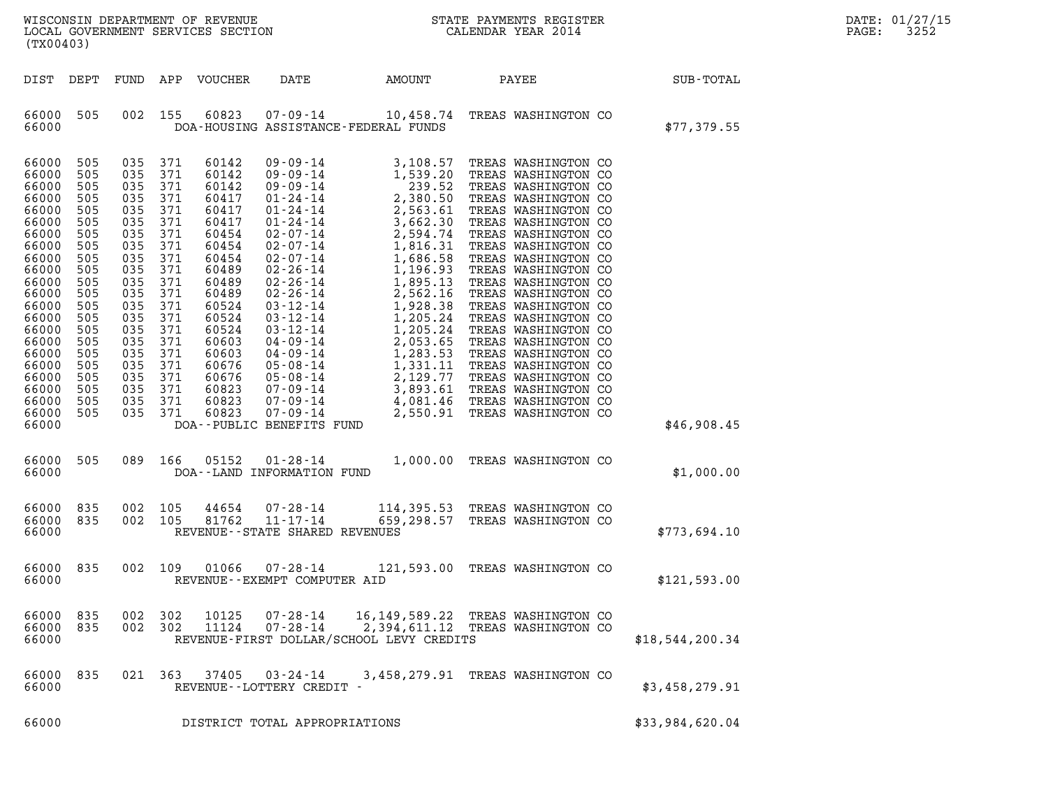| $\mathtt{DATE}$ : | 01/27/15 |
|-------------------|----------|
| PAGE:             | 3252     |

| $\mathbf{M}$<br>WISCONSIN DEPARTMENT OF REVENUE<br>LOCAL GOVERNMENT SERVICES SECTION<br>(TX00403)                                                                                                           |                                                                                                                                                        |                                                                                                                                                        |                                                                                                                                                        |                                                                                                                                                                                                    |                                                                                                                                                                                                                                                                                                                                                                                                                                 |                                                                                                                                                                                                                                                                    | STATE PAYMENTS REGISTER<br>CALENDAR YEAR 2014                                                                                                                                                                                                                                                                                                                                                                                                                                                                          |                 | DATE: 01/27/15<br>3252<br>PAGE: |
|-------------------------------------------------------------------------------------------------------------------------------------------------------------------------------------------------------------|--------------------------------------------------------------------------------------------------------------------------------------------------------|--------------------------------------------------------------------------------------------------------------------------------------------------------|--------------------------------------------------------------------------------------------------------------------------------------------------------|----------------------------------------------------------------------------------------------------------------------------------------------------------------------------------------------------|---------------------------------------------------------------------------------------------------------------------------------------------------------------------------------------------------------------------------------------------------------------------------------------------------------------------------------------------------------------------------------------------------------------------------------|--------------------------------------------------------------------------------------------------------------------------------------------------------------------------------------------------------------------------------------------------------------------|------------------------------------------------------------------------------------------------------------------------------------------------------------------------------------------------------------------------------------------------------------------------------------------------------------------------------------------------------------------------------------------------------------------------------------------------------------------------------------------------------------------------|-----------------|---------------------------------|
| DIST DEPT                                                                                                                                                                                                   |                                                                                                                                                        | FUND                                                                                                                                                   |                                                                                                                                                        | APP VOUCHER                                                                                                                                                                                        | DATE                                                                                                                                                                                                                                                                                                                                                                                                                            | AMOUNT                                                                                                                                                                                                                                                             | PAYEE                                                                                                                                                                                                                                                                                                                                                                                                                                                                                                                  | SUB-TOTAL       |                                 |
| 66000<br>66000                                                                                                                                                                                              | 505                                                                                                                                                    | 002                                                                                                                                                    | 155                                                                                                                                                    | 60823                                                                                                                                                                                              | $07 - 09 - 14$                                                                                                                                                                                                                                                                                                                                                                                                                  | 10,458.74<br>DOA-HOUSING ASSISTANCE-FEDERAL FUNDS                                                                                                                                                                                                                  | TREAS WASHINGTON CO                                                                                                                                                                                                                                                                                                                                                                                                                                                                                                    | \$77,379.55     |                                 |
| 66000<br>66000<br>66000<br>66000<br>66000<br>66000<br>66000<br>66000<br>66000<br>66000<br>66000<br>66000<br>66000<br>66000<br>66000<br>66000<br>66000<br>66000<br>66000<br>66000<br>66000<br>66000<br>66000 | 505<br>505<br>505<br>505<br>505<br>505<br>505<br>505<br>505<br>505<br>505<br>505<br>505<br>505<br>505<br>505<br>505<br>505<br>505<br>505<br>505<br>505 | 035<br>035<br>035<br>035<br>035<br>035<br>035<br>035<br>035<br>035<br>035<br>035<br>035<br>035<br>035<br>035<br>035<br>035<br>035<br>035<br>035<br>035 | 371<br>371<br>371<br>371<br>371<br>371<br>371<br>371<br>371<br>371<br>371<br>371<br>371<br>371<br>371<br>371<br>371<br>371<br>371<br>371<br>371<br>371 | 60142<br>60142<br>60142<br>60417<br>60417<br>60417<br>60454<br>60454<br>60454<br>60489<br>60489<br>60489<br>60524<br>60524<br>60524<br>60603<br>60603<br>60676<br>60676<br>60823<br>60823<br>60823 | $09 - 09 - 14$<br>$09 - 09 - 14$<br>$09 - 09 - 14$<br>$01 - 24 - 14$<br>$01 - 24 - 14$<br>$01 - 24 - 14$<br>$02 - 07 - 14$<br>$02 - 07 - 14$<br>$02 - 07 - 14$<br>$02 - 26 - 14$<br>$02 - 26 - 14$<br>$02 - 26 - 14$<br>$03 - 12 - 14$<br>$03 - 12 - 14$<br>$03 - 12 - 14$<br>$04 - 09 - 14$<br>$04 - 09 - 14$<br>$05 - 08 - 14$<br>$05 - 08 - 14$<br>$07 - 09 - 14$<br>07-09-14<br>$07 - 09 - 14$<br>DOA--PUBLIC BENEFITS FUND | 3,108.57<br>1,539.20<br>239.52<br>2,380.50<br>2,563.61<br>3,662.30<br>2,594.74<br>1,816.31<br>1,686.58<br>1,196.93<br>1,895.13<br>2,562.16<br>1,928.38<br>1,205.24<br>1,205.24<br>2,053.65<br>1,283.53<br>1,331.11<br>2,129.77<br>3,893.61<br>4,081.46<br>2,550.91 | TREAS WASHINGTON CO<br>TREAS WASHINGTON CO<br>TREAS WASHINGTON CO<br>TREAS WASHINGTON CO<br>TREAS WASHINGTON CO<br>TREAS WASHINGTON CO<br>TREAS WASHINGTON CO<br>TREAS WASHINGTON CO<br>TREAS WASHINGTON CO<br>TREAS WASHINGTON CO<br>TREAS WASHINGTON CO<br>TREAS WASHINGTON CO<br>TREAS WASHINGTON CO<br>TREAS WASHINGTON CO<br>TREAS WASHINGTON CO<br>TREAS WASHINGTON CO<br>TREAS WASHINGTON CO<br>TREAS WASHINGTON CO<br>TREAS WASHINGTON CO<br>TREAS WASHINGTON CO<br>TREAS WASHINGTON CO<br>TREAS WASHINGTON CO | \$46,908.45     |                                 |
| 66000<br>66000                                                                                                                                                                                              | 505                                                                                                                                                    | 089                                                                                                                                                    | 166                                                                                                                                                    | 05152                                                                                                                                                                                              | $01 - 28 - 14$<br>DOA--LAND INFORMATION FUND                                                                                                                                                                                                                                                                                                                                                                                    |                                                                                                                                                                                                                                                                    | 1,000.00 TREAS WASHINGTON CO                                                                                                                                                                                                                                                                                                                                                                                                                                                                                           | \$1,000.00      |                                 |
| 66000<br>66000<br>66000                                                                                                                                                                                     | 835<br>835                                                                                                                                             | 002                                                                                                                                                    | 105<br>002 105                                                                                                                                         | 44654<br>81762                                                                                                                                                                                     | $07 - 28 - 14$<br>$11 - 17 - 14$<br>REVENUE--STATE SHARED REVENUES                                                                                                                                                                                                                                                                                                                                                              |                                                                                                                                                                                                                                                                    | 114,395.53 TREAS WASHINGTON CO<br>659,298.57 TREAS WASHINGTON CO                                                                                                                                                                                                                                                                                                                                                                                                                                                       | \$773,694.10    |                                 |
| 66000<br>66000                                                                                                                                                                                              | 835                                                                                                                                                    |                                                                                                                                                        | 002 109                                                                                                                                                | 01066                                                                                                                                                                                              | $07 - 28 - 14$<br>REVENUE - - EXEMPT COMPUTER AID                                                                                                                                                                                                                                                                                                                                                                               |                                                                                                                                                                                                                                                                    | 121,593.00 TREAS WASHINGTON CO                                                                                                                                                                                                                                                                                                                                                                                                                                                                                         | \$121,593.00    |                                 |
| 66000 835<br>66000 835<br>66000                                                                                                                                                                             |                                                                                                                                                        |                                                                                                                                                        | 002 302<br>002 302                                                                                                                                     |                                                                                                                                                                                                    | 10125  07-28-14<br>11124  07-28-14                                                                                                                                                                                                                                                                                                                                                                                              | REVENUE-FIRST DOLLAR/SCHOOL LEVY CREDITS                                                                                                                                                                                                                           | 16,149,589.22 TREAS WASHINGTON CO<br>2,394,611.12 TREAS WASHINGTON CO                                                                                                                                                                                                                                                                                                                                                                                                                                                  | \$18,544,200.34 |                                 |
| 66000<br>66000                                                                                                                                                                                              | 835                                                                                                                                                    |                                                                                                                                                        | 021 363                                                                                                                                                |                                                                                                                                                                                                    | $37405$ $03 - 24 - 14$<br>REVENUE--LOTTERY CREDIT -                                                                                                                                                                                                                                                                                                                                                                             |                                                                                                                                                                                                                                                                    | 3,458,279.91 TREAS WASHINGTON CO                                                                                                                                                                                                                                                                                                                                                                                                                                                                                       | \$3,458,279.91  |                                 |
| 66000                                                                                                                                                                                                       |                                                                                                                                                        |                                                                                                                                                        |                                                                                                                                                        |                                                                                                                                                                                                    | DISTRICT TOTAL APPROPRIATIONS                                                                                                                                                                                                                                                                                                                                                                                                   |                                                                                                                                                                                                                                                                    |                                                                                                                                                                                                                                                                                                                                                                                                                                                                                                                        | \$33,984,620.04 |                                 |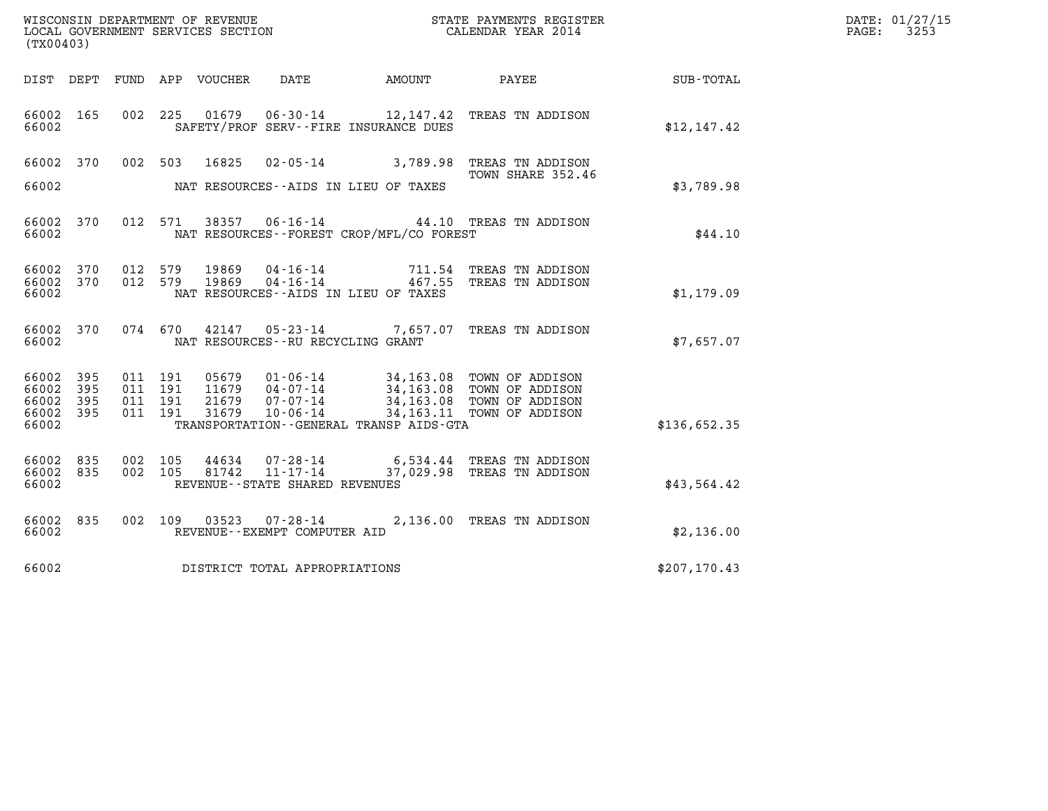| WISCONSIN DEPARTMENT OF REVENUE<br>LOCAL GOVERNMENT SERVICES SECTION<br>(TX00403) |                          |                                      |     |                                  |                                                                   |                                                                    | STATE PAYMENTS REGISTER<br>CALENDAR YEAR 2014                                                                    |               | DATE: 01/27/15<br>PAGE:<br>3253 |
|-----------------------------------------------------------------------------------|--------------------------|--------------------------------------|-----|----------------------------------|-------------------------------------------------------------------|--------------------------------------------------------------------|------------------------------------------------------------------------------------------------------------------|---------------|---------------------------------|
| DIST DEPT                                                                         |                          |                                      |     | FUND APP VOUCHER                 | DATE                                                              | AMOUNT                                                             | PAYEE                                                                                                            | SUB-TOTAL     |                                 |
| 66002 165<br>66002                                                                |                          | 002 225                              |     | 01679                            |                                                                   | $06 - 30 - 14$ 12, 147.42<br>SAFETY/PROF SERV--FIRE INSURANCE DUES | TREAS TN ADDISON                                                                                                 | \$12,147.42   |                                 |
| 66002 370<br>66002                                                                |                          | 002                                  | 503 | 16825                            | NAT RESOURCES--AIDS IN LIEU OF TAXES                              | $02 - 05 - 14$ 3,789.98                                            | TREAS TN ADDISON<br>TOWN SHARE 352.46                                                                            | \$3,789.98    |                                 |
| 66002 370<br>66002                                                                |                          | 012 571                              |     |                                  | 38357 06-16-14                                                    | NAT RESOURCES - - FOREST CROP/MFL/CO FOREST                        | 44.10 TREAS TN ADDISON                                                                                           | \$44.10       |                                 |
| 66002 370<br>66002<br>66002                                                       | 370                      | 012 579<br>012 579                   |     | 19869<br>19869                   | 04-16-14<br>04 - 16 - 14<br>NAT RESOURCES - AIDS IN LIEU OF TAXES | 467.55                                                             | 711.54 TREAS TN ADDISON<br>TREAS TN ADDISON                                                                      | \$1,179.09    |                                 |
| 66002 370<br>66002                                                                |                          | 074 670                              |     | 42147                            | NAT RESOURCES - - RU RECYCLING GRANT                              |                                                                    | 05-23-14 7,657.07 TREAS TN ADDISON                                                                               | \$7,657.07    |                                 |
| 66002<br>66002<br>66002<br>66002<br>66002                                         | 395<br>395<br>395<br>395 | 011 191<br>011 191<br>011<br>011 191 | 191 | 05679<br>11679<br>21679<br>31679 | 01-06-14<br>04-07-14<br>07-07-14<br>$10 - 06 - 14$                | TRANSPORTATION - - GENERAL TRANSP AIDS - GTA                       | 34,163.08 TOWN OF ADDISON<br>34,163.08 TOWN OF ADDISON<br>34,163.08 TOWN OF ADDISON<br>34,163.11 TOWN OF ADDISON | \$136,652.35  |                                 |
| 66002<br>66002<br>66002                                                           | 835<br>835               | 002<br>002 105                       | 105 | 44634<br>81742                   | 07-28-14<br>11-17-14<br>REVENUE--STATE SHARED REVENUES            |                                                                    | 6,534.44 TREAS TN ADDISON<br>37,029.98 TREAS TN ADDISON                                                          | \$43,564.42   |                                 |
| 66002 835<br>66002                                                                |                          | 002 109                              |     | 03523                            | REVENUE--EXEMPT COMPUTER AID                                      |                                                                    | 07-28-14 2,136.00 TREAS TN ADDISON                                                                               | \$2,136.00    |                                 |
| 66002                                                                             |                          |                                      |     |                                  | DISTRICT TOTAL APPROPRIATIONS                                     |                                                                    |                                                                                                                  | \$207, 170.43 |                                 |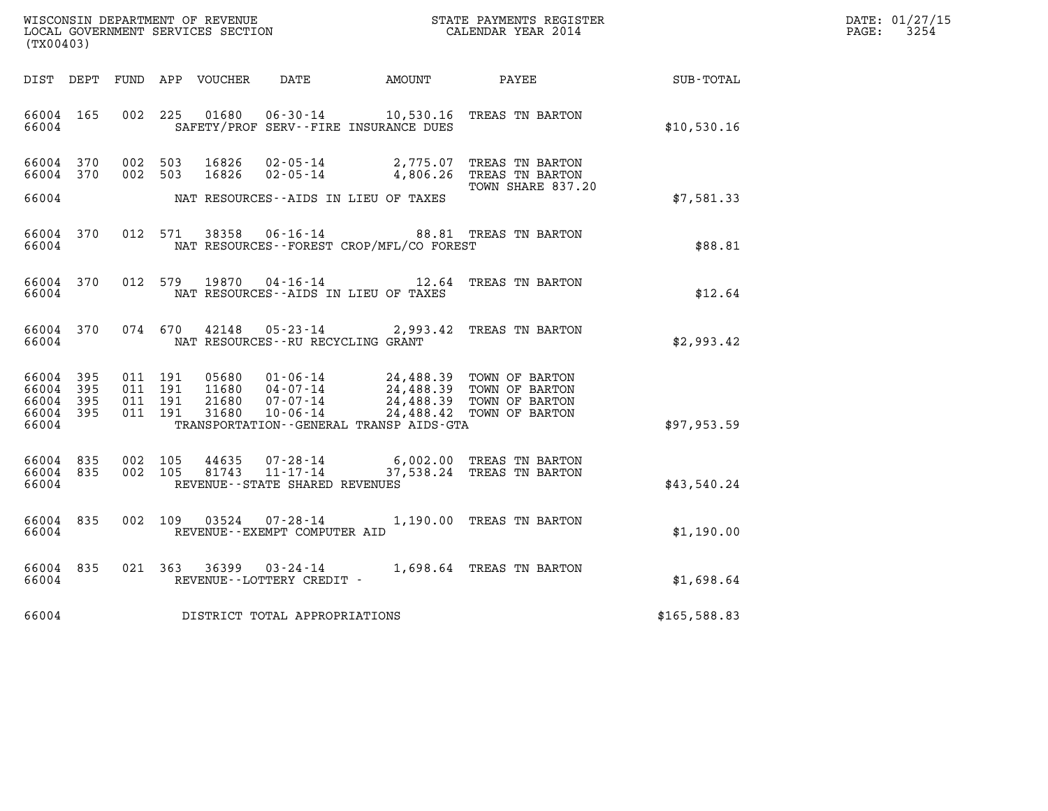| WISCONSIN DEPARTMENT OF REVENUE   | STATE PAYMENTS REGISTER | DATE: 01/27/15 |
|-----------------------------------|-------------------------|----------------|
| LOCAL GOVERNMENT SERVICES SECTION | CALENDAR YEAR 2014      | 3254<br>PAGE:  |

| (TX00403)                                                 |                         |  |                                          |               |                                      |                                                |                                                                                                                                                                                      |                                                              | DATE: 01/27/15<br>$\mathtt{PAGE:}$<br>3254 |
|-----------------------------------------------------------|-------------------------|--|------------------------------------------|---------------|--------------------------------------|------------------------------------------------|--------------------------------------------------------------------------------------------------------------------------------------------------------------------------------------|--------------------------------------------------------------|--------------------------------------------|
|                                                           |                         |  |                                          |               |                                      |                                                |                                                                                                                                                                                      | DIST DEPT FUND APP VOUCHER DATE AMOUNT PAYEE PAYER SUB-TOTAL |                                            |
|                                                           | 66004 165               |  |                                          |               |                                      | 66004 SAFETY/PROF SERV--FIRE INSURANCE DUES    | 002 225 01680 06-30-14 10,530.16 TREAS TN BARTON                                                                                                                                     | \$10,530.16                                                  |                                            |
|                                                           |                         |  |                                          |               |                                      |                                                | 66004 370 002 503 16826 02-05-14 2,775.07 TREAS TN BARTON<br>66004 370 002 503 16826 02-05-14 4,806.26 TREAS TN BARTON<br>TOWN SHARE 837.20                                          |                                                              |                                            |
|                                                           |                         |  |                                          |               |                                      | 66004 NAT RESOURCES--AIDS IN LIEU OF TAXES     |                                                                                                                                                                                      | \$7,581.33                                                   |                                            |
|                                                           | 66004 370               |  |                                          |               |                                      | 66004 NAT RESOURCES--FOREST CROP/MFL/CO FOREST | 012 571 38358 06-16-14 88.81 TREAS TN BARTON                                                                                                                                         | \$88.81                                                      |                                            |
|                                                           |                         |  |                                          |               |                                      | 66004 NAT RESOURCES--AIDS IN LIEU OF TAXES     | 66004 370 012 579 19870 04-16-14 12.64 TREAS TN BARTON                                                                                                                               | \$12.64                                                      |                                            |
|                                                           | 66004 370<br>66004      |  |                                          | 074 670 42148 | NAT RESOURCES--RU RECYCLING GRANT    |                                                | 05-23-14 2,993.42 TREAS TN BARTON                                                                                                                                                    | \$2,993.42                                                   |                                            |
| 66004 395<br>66004 395<br>66004 395<br>66004 395<br>66004 |                         |  | 011 191<br>011 191<br>011 191<br>011 191 |               |                                      | TRANSPORTATION--GENERAL TRANSP AIDS-GTA        | 05680  01-06-14  24,488.39  TOWN OF BARTON<br>11680  04-07-14  24,488.39  TOWN OF BARTON<br>21680  07-07-14  24,488.39  TOWN OF BARTON<br>31680  10-06-14  24,488.42  TOWN OF BARTON | \$97,953.59                                                  |                                            |
|                                                           |                         |  |                                          |               |                                      |                                                |                                                                                                                                                                                      |                                                              |                                            |
| 66004 835                                                 | 66004 835               |  |                                          |               | 66004 REVENUE--STATE SHARED REVENUES |                                                | 002 105 44635 07-28-14 6,002.00 TREAS TN BARTON<br>002 105 81743 11-17-14 37,538.24 TREAS TN BARTON                                                                                  | \$43,540.24                                                  |                                            |
|                                                           | 66004 835               |  |                                          |               | 66004 REVENUE - EXEMPT COMPUTER AID  |                                                | 002 109 03524 07-28-14 1,190.00 TREAS TN BARTON                                                                                                                                      | \$1,190.00                                                   |                                            |
|                                                           | 66004 835<br>66004 6600 |  |                                          |               | REVENUE--LOTTERY CREDIT -            |                                                | 021 363 36399 03-24-14 1,698.64 TREAS TN BARTON                                                                                                                                      | \$1,698.64                                                   |                                            |
|                                                           |                         |  |                                          |               | 66004 DISTRICT TOTAL APPROPRIATIONS  |                                                |                                                                                                                                                                                      | \$165,588.83                                                 |                                            |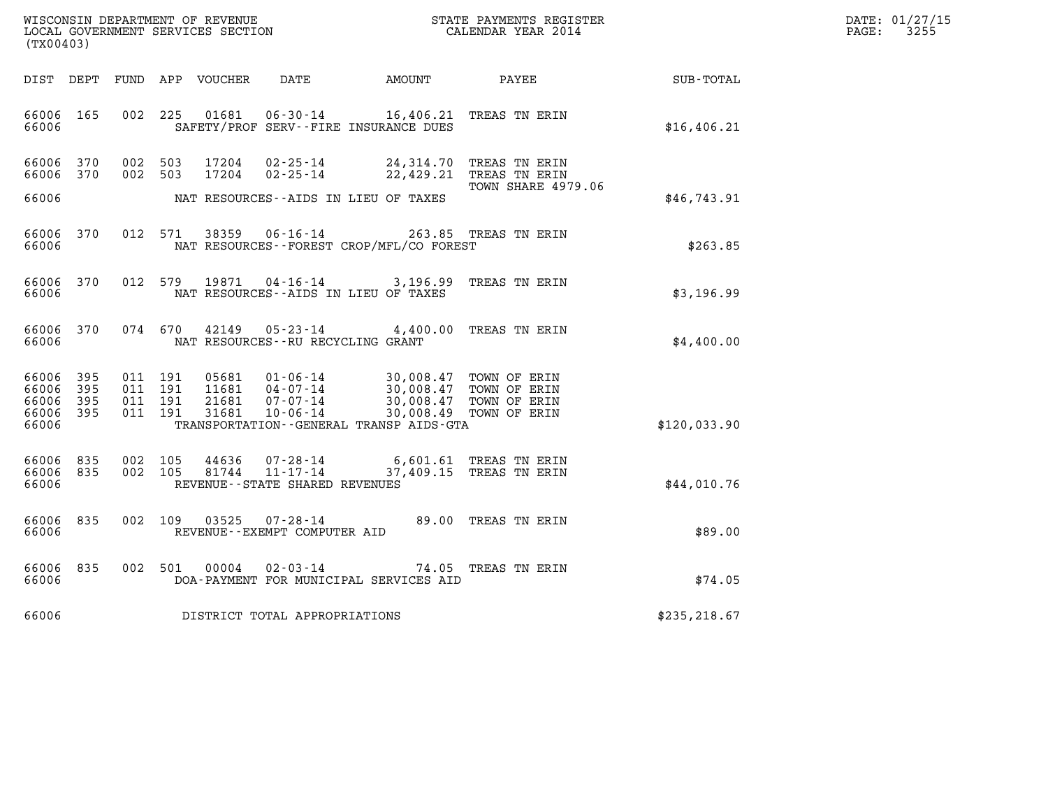| WISCONSIN DEPARTMENT OF REVENUE   | STATE PAYMENTS REGISTER | DATE: 01/27/15 |
|-----------------------------------|-------------------------|----------------|
| LOCAL GOVERNMENT SERVICES SECTION | CALENDAR YEAR 2014      | 3255<br>PAGE:  |

| WISCONSIN DEPARTMENT OF REVENUE<br>LOCAL GOVERNMENT SERVICES SECTION<br>(TX00403)                 |                                                                                                                                                                                      |                                                                                                                  |                  |
|---------------------------------------------------------------------------------------------------|--------------------------------------------------------------------------------------------------------------------------------------------------------------------------------------|------------------------------------------------------------------------------------------------------------------|------------------|
| DEPT<br>FUND<br>DIST                                                                              | APP<br><b>VOUCHER</b><br><b>DATE</b>                                                                                                                                                 | AMOUNT<br>PAYEE                                                                                                  | <b>SUB-TOTAL</b> |
| 165<br>002<br>66006<br>66006                                                                      | 225<br>01681<br>$06 - 30 - 14$<br>SAFETY/PROF SERV--FIRE INSURANCE DUES                                                                                                              | 16,406.21<br>TREAS TN ERIN                                                                                       | \$16,406.21      |
| 66006<br>370<br>002<br>66006<br>370<br>002                                                        | 503<br>17204<br>$02 - 25 - 14$<br>503<br>17204<br>$02 - 25 - 14$                                                                                                                     | 24,314.70<br>TREAS TN ERIN<br>22,429.21<br>TREAS TN ERIN                                                         |                  |
| 66006                                                                                             | NAT RESOURCES - AIDS IN LIEU OF TAXES                                                                                                                                                | TOWN SHARE 4979.06                                                                                               | \$46,743.91      |
| 012<br>66006<br>370<br>66006                                                                      | $06 - 16 - 14$<br>571<br>38359<br>NAT RESOURCES - - FOREST CROP/MFL/CO FOREST                                                                                                        | 263.85<br>TREAS TN ERIN                                                                                          | \$263.85         |
| 370<br>012<br>66006<br>66006                                                                      | 19871<br>579<br>$04 - 16 - 14$<br>NAT RESOURCES -- AIDS IN LIEU OF TAXES                                                                                                             | 3,196.99<br>TREAS TN ERIN                                                                                        | \$3,196.99       |
| 66006<br>370<br>074<br>66006                                                                      | 670<br>42149<br>$05 - 23 - 14$<br>NAT RESOURCES -- RU RECYCLING GRANT                                                                                                                | TREAS TN ERIN<br>4,400.00                                                                                        | \$4,400.00       |
| 66006<br>395<br>011<br>395<br>66006<br>011<br>66006<br>395<br>011<br>66006<br>395<br>011<br>66006 | 191<br>05681<br>$01 - 06 - 14$<br>191<br>11681<br>$04 - 07 - 14$<br>191<br>21681<br>$07 - 07 - 14$<br>191<br>31681<br>$10 - 06 - 14$<br>TRANSPORTATION - - GENERAL TRANSP AIDS - GTA | 30,008.47<br>TOWN OF ERIN<br>30,008.47<br>TOWN OF ERIN<br>30,008.47<br>TOWN OF ERIN<br>30,008.49<br>TOWN OF ERIN | \$120,033.90     |
| 66006<br>835<br>002<br>66006<br>835<br>002<br>66006                                               | 105<br>44636<br>$07 - 28 - 14$<br>105<br>81744<br>$11 - 17 - 14$<br>REVENUE - - STATE SHARED REVENUES                                                                                | 6,601.61<br>TREAS TN ERIN<br>37,409.15<br>TREAS TN ERIN                                                          | \$44,010.76      |
| 002<br>66006<br>835<br>66006                                                                      | 109<br>03525<br>$07 - 28 - 14$<br>REVENUE - - EXEMPT COMPUTER AID                                                                                                                    | 89.00<br>TREAS TN ERIN                                                                                           | \$89.00          |
| 66006<br>835<br>002<br>66006                                                                      | 501<br>00004<br>$02 - 03 - 14$<br>DOA-PAYMENT FOR MUNICIPAL SERVICES AID                                                                                                             | 74.05<br>TREAS TN ERIN                                                                                           | \$74.05          |
| 66006                                                                                             | DISTRICT TOTAL APPROPRIATIONS                                                                                                                                                        |                                                                                                                  | \$235, 218.67    |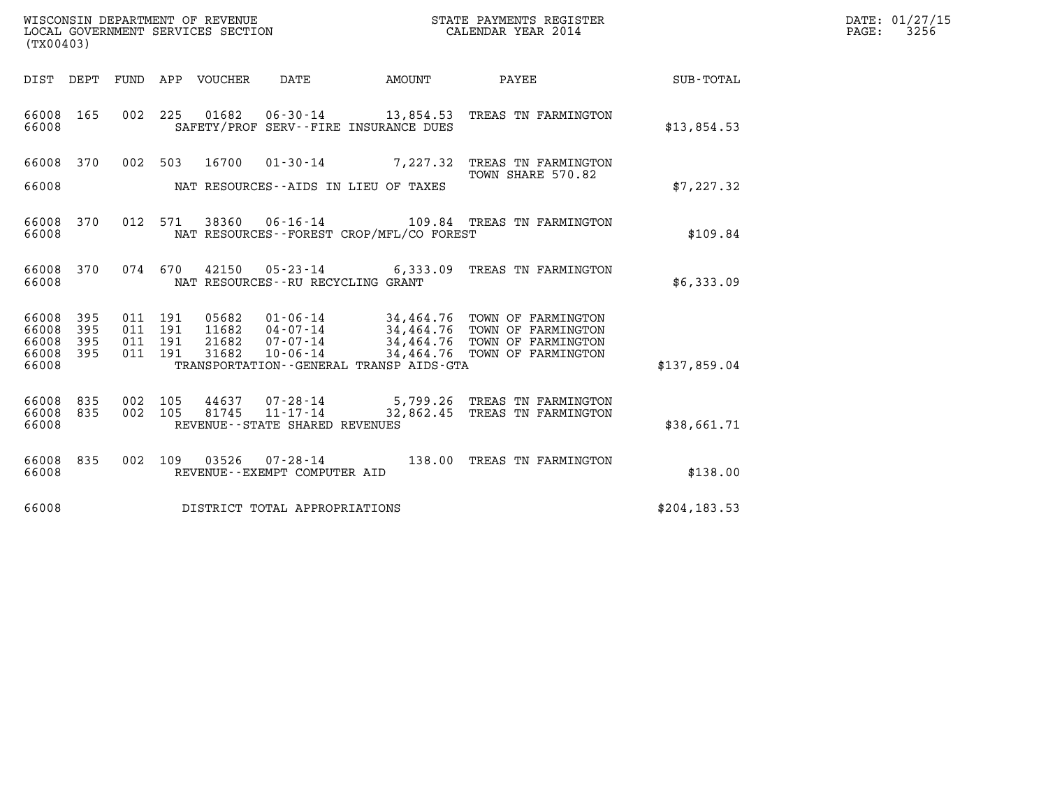| WISCONSIN DEPARTMENT OF REVENUE   | STATE PAYMENTS REGISTER | DATE: 01/27/15 |
|-----------------------------------|-------------------------|----------------|
| LOCAL GOVERNMENT SERVICES SECTION | CALENDAR YEAR 2014      | 3256<br>PAGE:  |

|                         | WISCONSIN DEPARTMENT OF REVENUE<br>STATE PAYMENTS REGISTER<br>LOCAL GOVERNMENT SERVICES SECTION<br>CALENDAR YEAR 2014<br>(TX00403) |                   |                   |                         |                                                                 |                                                           |                                                                                              |               |
|-------------------------|------------------------------------------------------------------------------------------------------------------------------------|-------------------|-------------------|-------------------------|-----------------------------------------------------------------|-----------------------------------------------------------|----------------------------------------------------------------------------------------------|---------------|
| DIST                    | DEPT                                                                                                                               | FUND              | APP               | VOUCHER                 | DATE                                                            | AMOUNT                                                    | PAYEE                                                                                        | SUB-TOTAL     |
| 66008<br>66008          | 165                                                                                                                                | 002               | 225               | 01682                   | 06-30-14                                                        | SAFETY/PROF SERV--FIRE INSURANCE DUES                     | 13,854.53 TREAS TN FARMINGTON                                                                | \$13,854.53   |
| 66008                   | 370                                                                                                                                | 002               | 503               | 16700                   | $01 - 30 - 14$                                                  |                                                           | 7,227.32 TREAS TN FARMINGTON<br>TOWN SHARE 570.82                                            |               |
| 66008                   |                                                                                                                                    |                   |                   |                         | NAT RESOURCES--AIDS IN LIEU OF TAXES                            |                                                           |                                                                                              | \$7,227.32    |
| 66008<br>66008          | 370                                                                                                                                | 012               | 571               | 38360                   | $06 - 16 - 14$                                                  | NAT RESOURCES - - FOREST CROP/MFL/CO FOREST               | 109.84 TREAS TN FARMINGTON                                                                   | \$109.84      |
| 66008<br>66008          | 370                                                                                                                                |                   | 074 670           | 42150                   | NAT RESOURCES - - RU RECYCLING GRANT                            | $05 - 23 - 14$ 6,333.09                                   | TREAS TN FARMINGTON                                                                          | \$6,333.09    |
| 66008<br>66008<br>66008 | 395<br>395<br>395                                                                                                                  | 011<br>011<br>011 | 191<br>191<br>191 | 05682<br>11682<br>21682 | 01-06-14<br>04-07-14<br>$07 - 07 - 14$                          |                                                           | 34,464.76 TOWN OF FARMINGTON<br>34,464.76 TOWN OF FARMINGTON<br>34,464.76 TOWN OF FARMINGTON |               |
| 66008<br>66008          | 395                                                                                                                                | 011               | 191               | 31682                   | $10 - 06 - 14$                                                  | 34,464.76<br>TRANSPORTATION - - GENERAL TRANSP AIDS - GTA | TOWN OF FARMINGTON                                                                           | \$137,859.04  |
| 66008<br>66008<br>66008 | 835<br>835                                                                                                                         | 002<br>002        | 105<br>105        | 44637<br>81745          | 07-28-14<br>$11 - 17 - 14$<br>REVENUE - - STATE SHARED REVENUES | 5,799.26<br>32,862.45                                     | TREAS TN FARMINGTON<br>TREAS TN FARMINGTON                                                   | \$38,661.71   |
| 66008<br>66008          | 835                                                                                                                                | 002               | 109               | 03526                   | $07 - 28 - 14$<br>REVENUE - - EXEMPT COMPUTER AID               |                                                           | 138.00 TREAS TN FARMINGTON                                                                   | \$138.00      |
| 66008                   |                                                                                                                                    |                   |                   |                         | DISTRICT TOTAL APPROPRIATIONS                                   |                                                           |                                                                                              | \$204, 183.53 |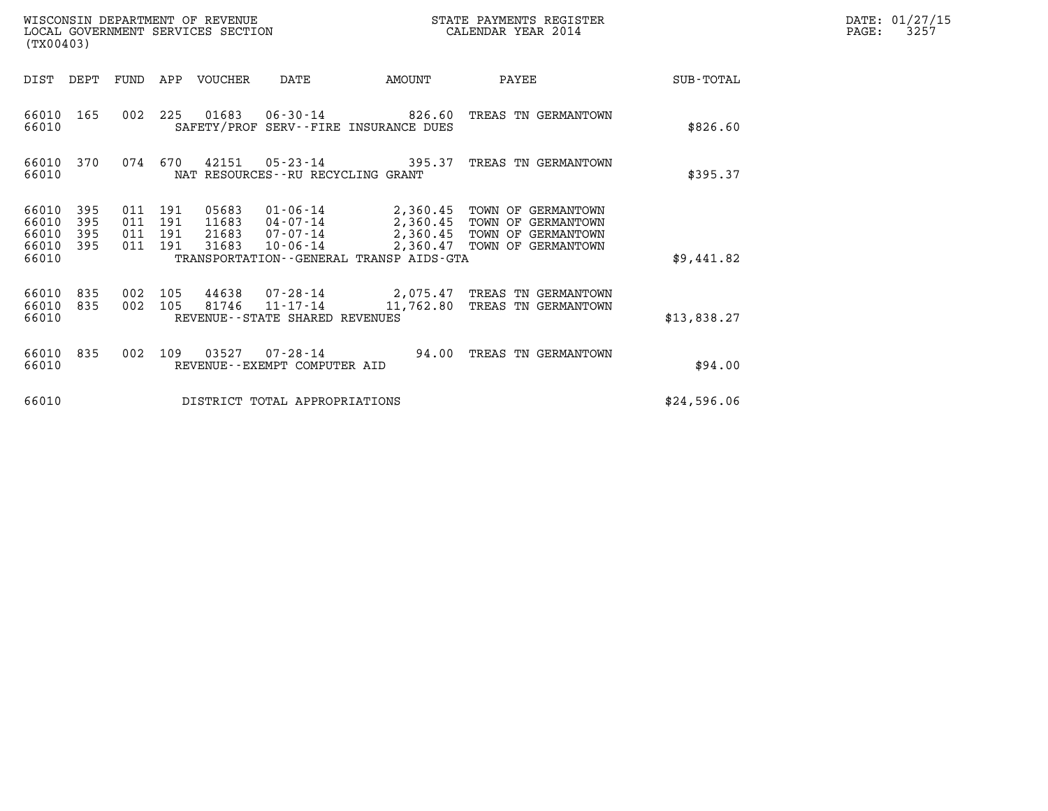| WISCONSIN DEPARTMENT OF REVENUE   | STATE PAYMENTS REGISTER | DATE: 01/27/15 |
|-----------------------------------|-------------------------|----------------|
| LOCAL GOVERNMENT SERVICES SECTION | CALENDAR YEAR 2014      | 3257<br>PAGE:  |

| WISCONSIN DEPARTMENT OF REVENUE<br>LOCAL GOVERNMENT SERVICES SECTION<br>(TX00403) |                          |                                  |            |                |                                                           |                                                                 | STATE PAYMENTS REGISTER<br>CALENDAR YEAR 2014                                                          | DATE: 01/27/15<br>PAGE:<br>3257 |  |
|-----------------------------------------------------------------------------------|--------------------------|----------------------------------|------------|----------------|-----------------------------------------------------------|-----------------------------------------------------------------|--------------------------------------------------------------------------------------------------------|---------------------------------|--|
| DIST                                                                              | DEPT                     | FUND                             | APP        | VOUCHER        | DATE                                                      | AMOUNT                                                          | PAYEE                                                                                                  | SUB-TOTAL                       |  |
| 66010 165<br>66010                                                                |                          | 002                              | 225        |                |                                                           | SAFETY/PROF SERV--FIRE INSURANCE DUES                           | TREAS TN GERMANTOWN                                                                                    | \$826.60                        |  |
| 66010 370<br>66010                                                                |                          | 074                              | 670        | 42151          | NAT RESOURCES - - RU RECYCLING GRANT                      | $05 - 23 - 14$ 395.37                                           | TREAS TN GERMANTOWN                                                                                    | \$395.37                        |  |
| 66010<br>66010<br>66010<br>66010<br>66010                                         | 395<br>395<br>395<br>395 | 011<br>011 191<br>011 191<br>011 | 191<br>191 | 21683<br>31683 | 11683 04-07-14<br>$07 - 07 - 14$<br>$10 - 06 - 14$        | 2,360.45<br>2,360.45<br>TRANSPORTATION--GENERAL TRANSP AIDS-GTA | 2,360.45 TOWN OF GERMANTOWN<br>TOWN OF GERMANTOWN<br>TOWN OF GERMANTOWN<br>2,360.47 TOWN OF GERMANTOWN | \$9,441.82                      |  |
| 66010<br>66010<br>66010                                                           | 835<br>835               | 002<br>002                       | 105<br>105 | 44638<br>81746 | 07-28-14<br>11-17-14<br>REVENUE - - STATE SHARED REVENUES | 11,762.80                                                       | 2,075.47 TREAS TN GERMANTOWN<br>TREAS TN GERMANTOWN                                                    | \$13,838.27                     |  |
| 66010<br>66010                                                                    | 835                      | 002                              | 109        | 03527          | 07-28-14<br>REVENUE--EXEMPT COMPUTER AID                  | 94.00                                                           | TREAS TN GERMANTOWN                                                                                    | \$94.00                         |  |
| 66010                                                                             |                          |                                  |            |                | DISTRICT TOTAL APPROPRIATIONS                             |                                                                 |                                                                                                        | \$24,596.06                     |  |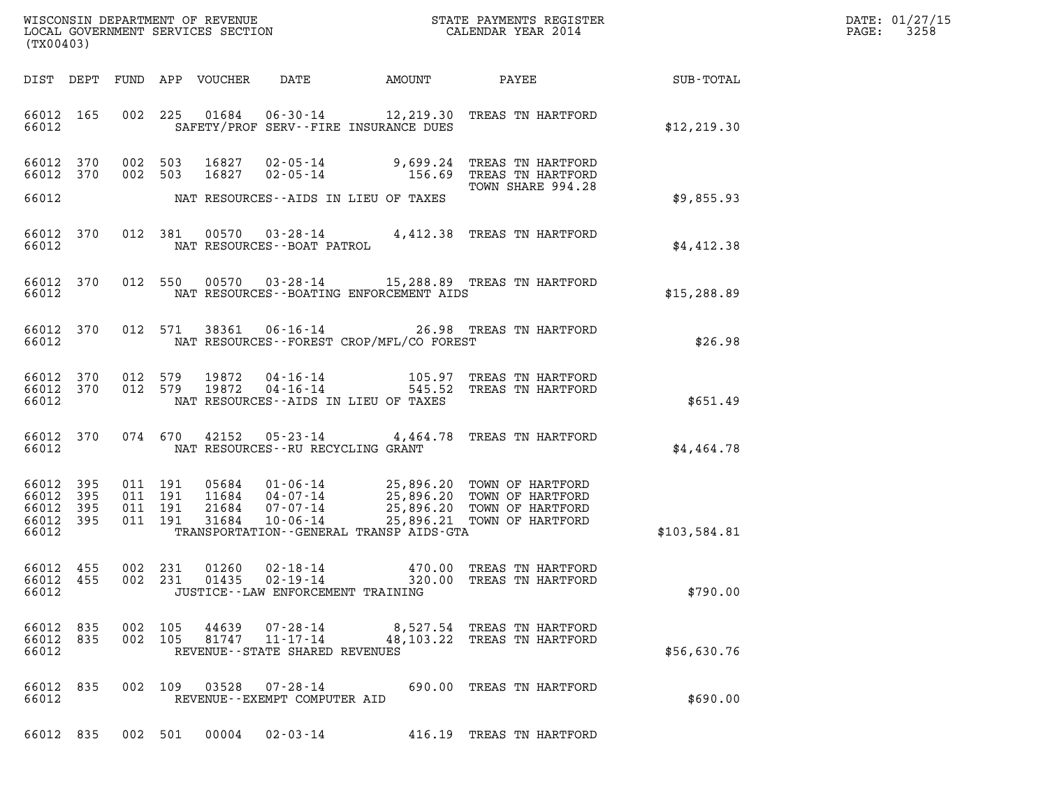| (TX00403)          |                                     |  |                                          |                                  |                                                                |                                             |                                                                                                                                                                                     |              | DATE: 01/27/15<br>3258<br>$\mathtt{PAGE:}$ |
|--------------------|-------------------------------------|--|------------------------------------------|----------------------------------|----------------------------------------------------------------|---------------------------------------------|-------------------------------------------------------------------------------------------------------------------------------------------------------------------------------------|--------------|--------------------------------------------|
|                    |                                     |  |                                          | DIST DEPT FUND APP VOUCHER       | DATE                                                           |                                             |                                                                                                                                                                                     |              |                                            |
| 66012              | 66012 165                           |  |                                          |                                  |                                                                | SAFETY/PROF SERV--FIRE INSURANCE DUES       | 002 225 01684 06-30-14 12,219.30 TREAS TN HARTFORD                                                                                                                                  | \$12, 219.30 |                                            |
| 66012              | 66012 370<br>66012 370              |  | 002 503<br>002 503                       |                                  |                                                                | NAT RESOURCES--AIDS IN LIEU OF TAXES        | 16827  02-05-14  9,699.24 TREAS TN HARTFORD<br>16827  02-05-14  156.69 TREAS TN HARTFORD<br>TOWN SHARE 994.28                                                                       | \$9,855.93   |                                            |
|                    |                                     |  |                                          |                                  |                                                                |                                             |                                                                                                                                                                                     |              |                                            |
| 66012              | 66012 370                           |  |                                          |                                  | NAT RESOURCES--BOAT PATROL                                     |                                             | 012 381 00570 03-28-14 4,412.38 TREAS TN HARTFORD                                                                                                                                   | \$4,412.38   |                                            |
| 66012              |                                     |  |                                          |                                  |                                                                | NAT RESOURCES--BOATING ENFORCEMENT AIDS     | 66012 370 012 550 00570 03-28-14 15,288.89 TREAS TN HARTFORD                                                                                                                        | \$15,288.89  |                                            |
| 66012              |                                     |  |                                          |                                  |                                                                | NAT RESOURCES - - FOREST CROP/MFL/CO FOREST | 66012 370 012 571 38361 06-16-14 26.98 TREAS TN HARTFORD                                                                                                                            | \$26.98      |                                            |
| 66012              | 66012 370                           |  | 012 579                                  | 66012 370 012 579 19872<br>19872 |                                                                | NAT RESOURCES--AIDS IN LIEU OF TAXES        | 04-16-14 105.97 TREAS TN HARTFORD<br>04-16-14 545.52 TREAS TN HARTFORD<br>545.52 TREAS TN HARTFORD                                                                                  | \$651.49     |                                            |
| 66012              | 66012 370                           |  |                                          |                                  | NAT RESOURCES--RU RECYCLING GRANT                              |                                             | 074 670 42152 05-23-14 4,464.78 TREAS TN HARTFORD                                                                                                                                   | \$4,464.78   |                                            |
| 66012 395<br>66012 | 66012 395<br>66012 395<br>66012 395 |  | 011 191<br>011 191<br>011 191<br>011 191 | 31684                            |                                                                | TRANSPORTATION--GENERAL TRANSP AIDS-GTA     | 05684  01-06-14  25,896.20  TOWN OF HARTFORD<br>11684  04-07-14  25,896.20  TOWN OF HARTFORD<br>21684  07-07-14  25,896.20  TOWN OF HARTFORD<br>10-06-14 25,896.21 TOWN OF HARTFORD | \$103,584.81 |                                            |
| 66012              | 66012 455<br>66012 455              |  |                                          | 002 231 01260                    | 002 231 01435 02-19-14<br>JUSTICE - - LAW ENFORCEMENT TRAINING |                                             | 02-18-14 470.00 TREAS TN HARTFORD<br>320.00 TREAS TN HARTFORD                                                                                                                       | \$790.00     |                                            |
| 66012              | 66012 835<br>66012 835              |  | 002 105<br>002 105                       | 44639<br>81747                   | $11 - 17 - 14$<br>REVENUE - - STATE SHARED REVENUES            |                                             | 07-28-14 8,527.54 TREAS TN HARTFORD<br>48,103.22 TREAS TN HARTFORD                                                                                                                  | \$56,630.76  |                                            |
| 66012              | 66012 835                           |  |                                          | 002 109 03528                    | 07-28-14<br>REVENUE--EXEMPT COMPUTER AID                       |                                             | 690.00 TREAS TN HARTFORD                                                                                                                                                            | \$690.00     |                                            |
|                    | 66012 835                           |  | 002 501                                  | 00004                            | $02 - 03 - 14$                                                 |                                             | 416.19 TREAS TN HARTFORD                                                                                                                                                            |              |                                            |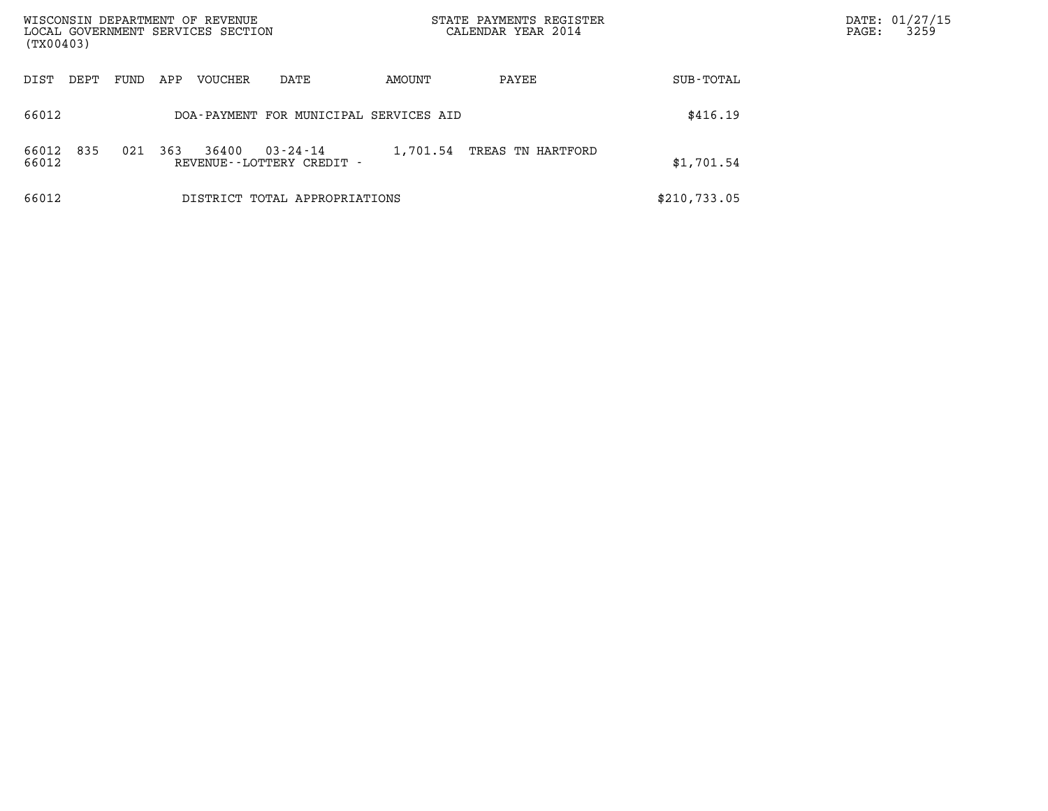| WISCONSIN DEPARTMENT OF REVENUE<br>LOCAL GOVERNMENT SERVICES SECTION<br>(TX00403) |      |     |         |                                                | STATE PAYMENTS REGISTER<br>CALENDAR YEAR 2014 |                   |              | DATE: 01/27/15<br>3259<br>$\mathtt{PAGE}$ : |
|-----------------------------------------------------------------------------------|------|-----|---------|------------------------------------------------|-----------------------------------------------|-------------------|--------------|---------------------------------------------|
| DIST<br>DEPT                                                                      | FUND | APP | VOUCHER | DATE                                           | AMOUNT                                        | PAYEE             | SUB-TOTAL    |                                             |
| 66012                                                                             |      |     |         | DOA-PAYMENT FOR MUNICIPAL SERVICES AID         |                                               |                   | \$416.19     |                                             |
| 835<br>66012<br>66012                                                             | 021  | 363 | 36400   | $03 - 24 - 14$<br>REVENUE - - LOTTERY CREDIT - | 1,701.54                                      | TREAS TN HARTFORD | \$1,701.54   |                                             |
| 66012                                                                             |      |     |         | DISTRICT TOTAL APPROPRIATIONS                  |                                               |                   | \$210,733.05 |                                             |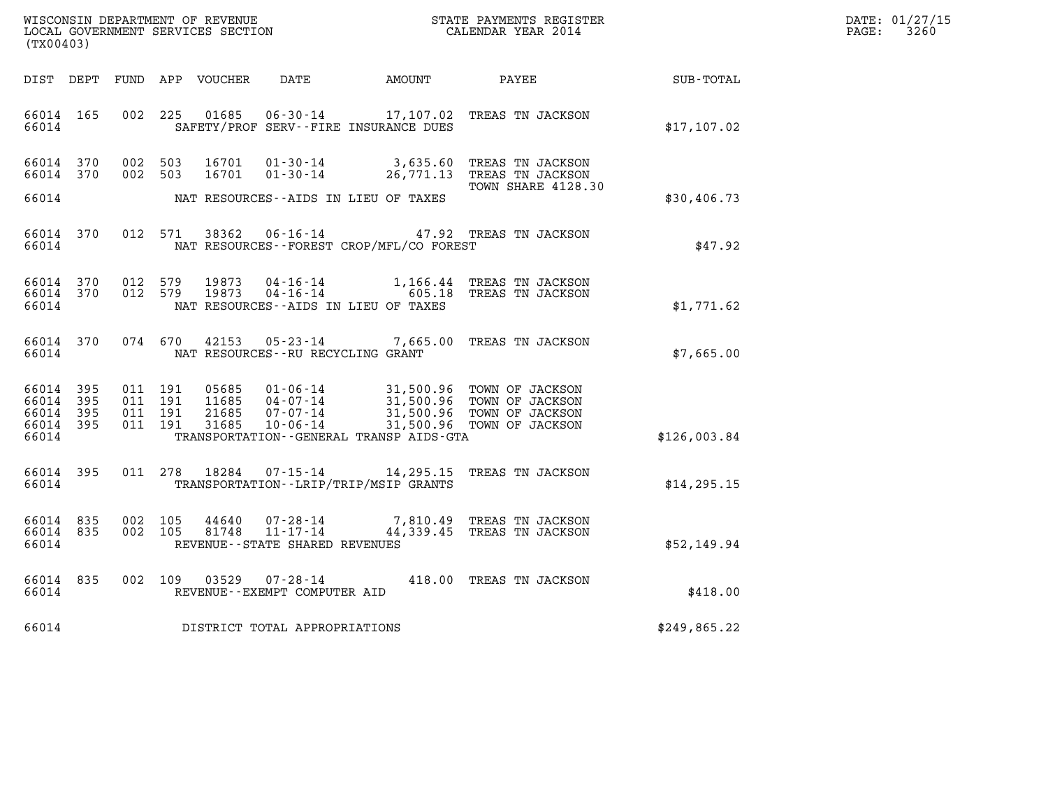| WISCONSIN DEPARTMENT OF REVENUE   | STATE PAYMENTS REGISTER | DATE: 01/27/15 |
|-----------------------------------|-------------------------|----------------|
| LOCAL GOVERNMENT SERVICES SECTION | CALENDAR YEAR 2014      | 3260<br>PAGE:  |

| WISCONSIN DEPARTMENT OF REVENUE<br>STATE PAYMENTS REGISTER<br>LOCAL GOVERNMENT SERVICES SECTION<br>CALENDAR YEAR 2014<br>(TX00403) |                          |                          |                          |                                  |                                                                                                                 |                                                  |                                                                          |                  |
|------------------------------------------------------------------------------------------------------------------------------------|--------------------------|--------------------------|--------------------------|----------------------------------|-----------------------------------------------------------------------------------------------------------------|--------------------------------------------------|--------------------------------------------------------------------------|------------------|
| DIST                                                                                                                               | DEPT                     | FUND                     | APP                      | VOUCHER                          | DATE                                                                                                            | AMOUNT                                           | PAYEE                                                                    | <b>SUB-TOTAL</b> |
| 66014<br>66014                                                                                                                     | 165                      | 002                      | 225                      | 01685                            | $06 - 30 - 14$<br>SAFETY/PROF SERV--FIRE INSURANCE DUES                                                         | 17,107.02                                        | TREAS TN JACKSON                                                         | \$17,107.02      |
| 66014<br>66014                                                                                                                     | 370<br>370               | 002<br>002               | 503<br>503               | 16701<br>16701                   | $01 - 30 - 14$<br>$01 - 30 - 14$                                                                                | 3,635.60<br>26,771.13                            | TREAS TN JACKSON<br>TREAS TN JACKSON                                     |                  |
| 66014                                                                                                                              |                          |                          |                          |                                  | NAT RESOURCES--AIDS IN LIEU OF TAXES                                                                            |                                                  | TOWN SHARE 4128.30                                                       | \$30,406.73      |
| 66014<br>66014                                                                                                                     | 370                      | 012                      | 571                      | 38362                            | $06 - 16 - 14$<br>NAT RESOURCES - - FOREST CROP/MFL/CO FOREST                                                   |                                                  | 47.92 TREAS TN JACKSON                                                   | \$47.92          |
| 66014<br>66014<br>66014                                                                                                            | 370<br>370               | 012<br>012               | 579<br>579               | 19873<br>19873                   | $04 - 16 - 14$<br>$04 - 16 - 14$<br>NAT RESOURCES -- AIDS IN LIEU OF TAXES                                      | 1,166.44<br>605.18                               | TREAS TN JACKSON<br>TREAS TN JACKSON                                     | \$1,771.62       |
| 66014<br>66014                                                                                                                     | 370                      | 074                      | 670                      | 42153                            | $05 - 23 - 14$<br>NAT RESOURCES - - RU RECYCLING GRANT                                                          | 7,665.00                                         | TREAS TN JACKSON                                                         | \$7,665.00       |
| 66014<br>66014<br>66014<br>66014<br>66014                                                                                          | 395<br>395<br>395<br>395 | 011<br>011<br>011<br>011 | 191<br>191<br>191<br>191 | 05685<br>11685<br>21685<br>31685 | $01 - 06 - 14$<br>$04 - 07 - 14$<br>$07 - 07 - 14$<br>$10 - 06 - 14$<br>TRANSPORTATION--GENERAL TRANSP AIDS-GTA | 31,500.96<br>31,500.96<br>31,500.96<br>31,500.96 | TOWN OF JACKSON<br>TOWN OF JACKSON<br>TOWN OF JACKSON<br>TOWN OF JACKSON | \$126,003.84     |
| 66014<br>66014                                                                                                                     | 395                      | 011                      | 278                      | 18284                            | $07 - 15 - 14$<br>TRANSPORTATION - - LRIP/TRIP/MSIP GRANTS                                                      | 14,295.15                                        | TREAS TN JACKSON                                                         | \$14, 295.15     |
| 66014<br>66014<br>66014                                                                                                            | 835<br>835               | 002<br>002               | 105<br>105               | 44640<br>81748                   | $07 - 28 - 14$<br>$11 - 17 - 14$<br>REVENUE - - STATE SHARED REVENUES                                           | 7,810.49<br>44,339.45                            | TREAS TN JACKSON<br>TREAS TN JACKSON                                     | \$52,149.94      |
| 66014<br>66014                                                                                                                     | 835                      | 002                      | 109                      | 03529                            | $07 - 28 - 14$<br>REVENUE - - EXEMPT COMPUTER AID                                                               | 418.00                                           | TREAS TN JACKSON                                                         | \$418.00         |
| 66014                                                                                                                              |                          |                          |                          |                                  | DISTRICT TOTAL APPROPRIATIONS                                                                                   |                                                  |                                                                          | \$249,865.22     |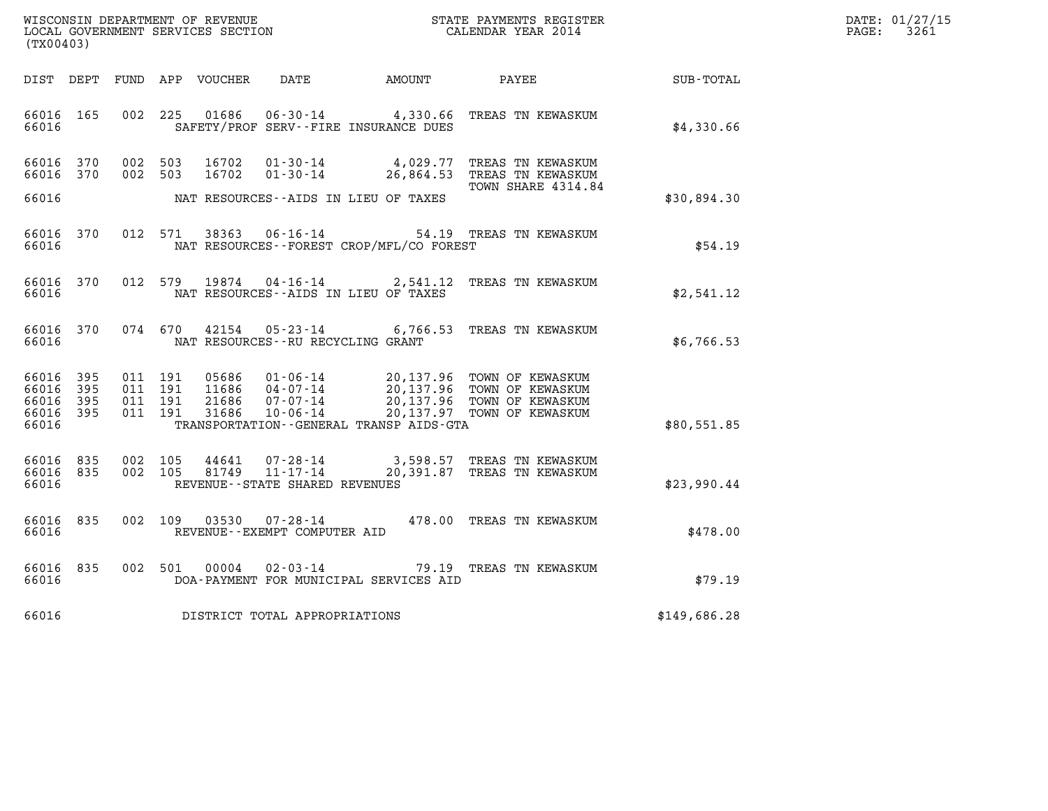| WISCONSIN DEPARTMENT OF REVENUE   | STATE PAYMENTS REGISTER | DATE: 01/27/15 |
|-----------------------------------|-------------------------|----------------|
| LOCAL GOVERNMENT SERVICES SECTION | CALENDAR YEAR 2014      | 3261<br>PAGE:  |

| (TX00403)                                 |                          |                          |                          |                                  |                                                                 |                                                                   |                                                                                                            |                  |  |
|-------------------------------------------|--------------------------|--------------------------|--------------------------|----------------------------------|-----------------------------------------------------------------|-------------------------------------------------------------------|------------------------------------------------------------------------------------------------------------|------------------|--|
| DIST                                      | DEPT                     | FUND                     | APP                      | VOUCHER                          | DATE                                                            | <b>EXAMPLE THE PROPERTY OF AMOUNT</b>                             | PAYEE                                                                                                      | <b>SUB-TOTAL</b> |  |
| 66016<br>66016                            | 165                      | 002                      | 225                      | 01686                            | $06 - 30 - 14$                                                  | 4,330.66<br>SAFETY/PROF SERV--FIRE INSURANCE DUES                 | TREAS TN KEWASKUM                                                                                          | \$4,330.66       |  |
| 66016<br>66016                            | 370<br>370               | 002<br>002               | 503<br>503               | 16702<br>16702                   | $01 - 30 - 14$<br>$01 - 30 - 14$                                | 4,029.77<br>26,864.53                                             | TREAS TN KEWASKUM<br>TREAS TN KEWASKUM<br>TOWN SHARE 4314.84                                               |                  |  |
| 66016                                     |                          |                          |                          |                                  |                                                                 | NAT RESOURCES - AIDS IN LIEU OF TAXES                             |                                                                                                            | \$30,894.30      |  |
| 66016<br>66016                            | 370                      | 012                      | 571                      | 38363                            | $06 - 16 - 14$                                                  | NAT RESOURCES - - FOREST CROP/MFL/CO FOREST                       | 54.19 TREAS TN KEWASKUM                                                                                    | \$54.19          |  |
| 66016<br>66016                            | 370                      | 012                      | 579                      |                                  |                                                                 | 19874 04-16-14 2,541.12<br>NAT RESOURCES -- AIDS IN LIEU OF TAXES | TREAS TN KEWASKUM                                                                                          | \$2,541.12       |  |
| 66016<br>66016                            | 370                      | 074                      | 670                      | 42154                            | NAT RESOURCES - - RU RECYCLING GRANT                            | $05 - 23 - 14$ 6,766.53                                           | TREAS TN KEWASKUM                                                                                          | \$6,766.53       |  |
| 66016<br>66016<br>66016<br>66016<br>66016 | 395<br>395<br>395<br>395 | 011<br>011<br>011<br>011 | 191<br>191<br>191<br>191 | 05686<br>11686<br>21686<br>31686 | $01 - 06 - 14$<br>04-07-14<br>$07 - 07 - 14$<br>$10 - 06 - 14$  | 20,137.97<br>TRANSPORTATION - - GENERAL TRANSP AIDS - GTA         | 20,137.96 TOWN OF KEWASKUM<br>20,137.96 TOWN OF KEWASKUM<br>20,137.96 TOWN OF KEWASKUM<br>TOWN OF KEWASKUM | \$80,551.85      |  |
| 66016<br>66016<br>66016                   | 835<br>835               | 002<br>002               | 105<br>105               | 44641<br>81749                   | 07-28-14<br>$11 - 17 - 14$<br>REVENUE - - STATE SHARED REVENUES | 3,598.57<br>20,391.87                                             | TREAS TN KEWASKUM<br>TREAS TN KEWASKUM                                                                     | \$23,990.44      |  |
| 66016<br>66016                            | 835                      | 002                      | 109                      | 03530                            | $07 - 28 - 14$<br>REVENUE - - EXEMPT COMPUTER AID               |                                                                   | 478.00 TREAS TN KEWASKUM                                                                                   | \$478.00         |  |
| 66016<br>66016                            | 835                      | 002                      | 501                      | 00004                            | $02 - 03 - 14$                                                  | 79.19<br>DOA-PAYMENT FOR MUNICIPAL SERVICES AID                   | TREAS TN KEWASKUM                                                                                          | \$79.19          |  |
| 66016                                     |                          |                          |                          |                                  | DISTRICT TOTAL APPROPRIATIONS                                   |                                                                   |                                                                                                            | \$149,686.28     |  |
|                                           |                          |                          |                          |                                  |                                                                 |                                                                   |                                                                                                            |                  |  |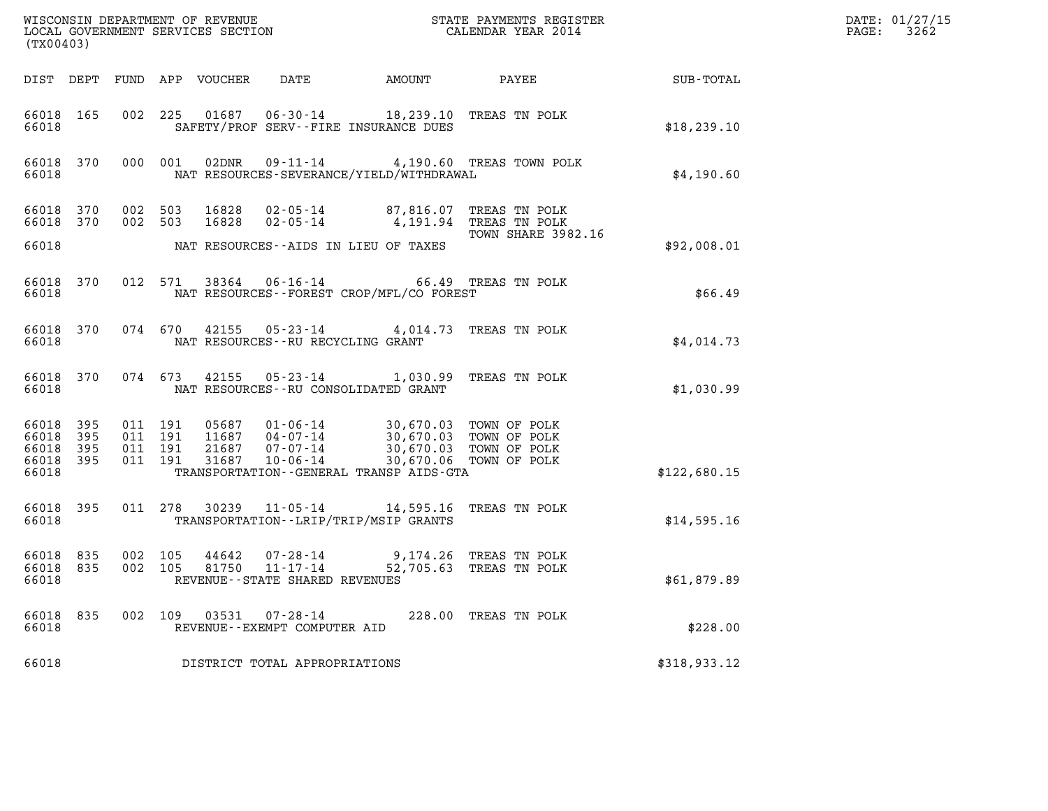| (TX00403)                                    |           |                               |                    |                            |                                                                 |                                                                                                                                                                              |                                                   |              | DATE: 01/27/15<br>3262<br>$\mathtt{PAGE:}$ |
|----------------------------------------------|-----------|-------------------------------|--------------------|----------------------------|-----------------------------------------------------------------|------------------------------------------------------------------------------------------------------------------------------------------------------------------------------|---------------------------------------------------|--------------|--------------------------------------------|
|                                              |           |                               |                    | DIST DEPT FUND APP VOUCHER | DATE                                                            |                                                                                                                                                                              |                                                   |              |                                            |
| 66018 165<br>66018                           |           |                               |                    |                            |                                                                 | 002 225 01687 06-30-14 18,239.10 TREAS TN POLK<br>SAFETY/PROF SERV--FIRE INSURANCE DUES                                                                                      |                                                   | \$18, 239.10 |                                            |
| 66018                                        | 66018 370 |                               | 000 001            | 02DNR                      |                                                                 | NAT RESOURCES-SEVERANCE/YIELD/WITHDRAWAL                                                                                                                                     | 09-11-14 4,190.60 TREAS TOWN POLK                 | \$4,190.60   |                                            |
| 66018 370                                    | 66018 370 |                               | 002 503<br>002 503 | 16828                      |                                                                 | 16828  02-05-14  87,816.07  TREAS TN POLK<br>02-05-14 4,191.94 TREAS TN POLK                                                                                                 |                                                   |              |                                            |
| 66018                                        |           |                               |                    |                            |                                                                 | NAT RESOURCES -- AIDS IN LIEU OF TAXES                                                                                                                                       | TOWN SHARE 3982.16                                | \$92,008.01  |                                            |
| 66018                                        | 66018 370 |                               |                    |                            |                                                                 | 012 571 38364 06-16-14 66.49 TREAS TN POLK<br>NAT RESOURCES--FOREST CROP/MFL/CO FOREST                                                                                       |                                                   | \$66.49      |                                            |
| 66018                                        | 66018 370 |                               |                    |                            | NAT RESOURCES--RU RECYCLING GRANT                               | 074 670 42155 05-23-14 4,014.73 TREAS TN POLK                                                                                                                                |                                                   | \$4,014.73   |                                            |
| 66018                                        | 66018 370 |                               |                    |                            |                                                                 | 074 673 42155 05-23-14 1,030.99 TREAS TN POLK<br>NAT RESOURCES--RU CONSOLIDATED GRANT                                                                                        |                                                   | \$1,030.99   |                                            |
| 66018 395<br>66018<br>66018 395<br>66018 395 | 395       | 011 191<br>011 191<br>011 191 | 011 191            |                            |                                                                 | 05687  01-06-14  30,670.03  TOWN OF POLK<br>11687  04-07-14  30,670.03  TOWN OF POLK<br>21687  07-07-14  30,670.03  TOWN OF POLK<br>31687  10-06-14  30,670.06  TOWN OF POLK |                                                   |              |                                            |
| 66018                                        |           |                               |                    |                            |                                                                 | TRANSPORTATION--GENERAL TRANSP AIDS-GTA                                                                                                                                      |                                                   | \$122,680.15 |                                            |
| 66018                                        | 66018 395 |                               |                    |                            |                                                                 | 011 278 30239 11-05-14 14,595.16 TREAS TN POLK<br>TRANSPORTATION - - LRIP/TRIP/MSIP GRANTS                                                                                   |                                                   | \$14,595.16  |                                            |
| 66018 835<br>66018 835<br>66018              |           | 002 105<br>002 105            |                    | 44642<br>81750             | 07-28-14<br>$11 - 17 - 14$<br>REVENUE - - STATE SHARED REVENUES |                                                                                                                                                                              | 9,174.26 TREAS TN POLK<br>52,705.63 TREAS TN POLK | \$61,879.89  |                                            |
| 66018<br>66018                               | 835       |                               | 002 109            | 03531                      | 07-28-14<br>REVENUE--EXEMPT COMPUTER AID                        |                                                                                                                                                                              | 228.00 TREAS TN POLK                              | \$228.00     |                                            |
| 66018                                        |           |                               |                    |                            | DISTRICT TOTAL APPROPRIATIONS                                   |                                                                                                                                                                              |                                                   | \$318,933.12 |                                            |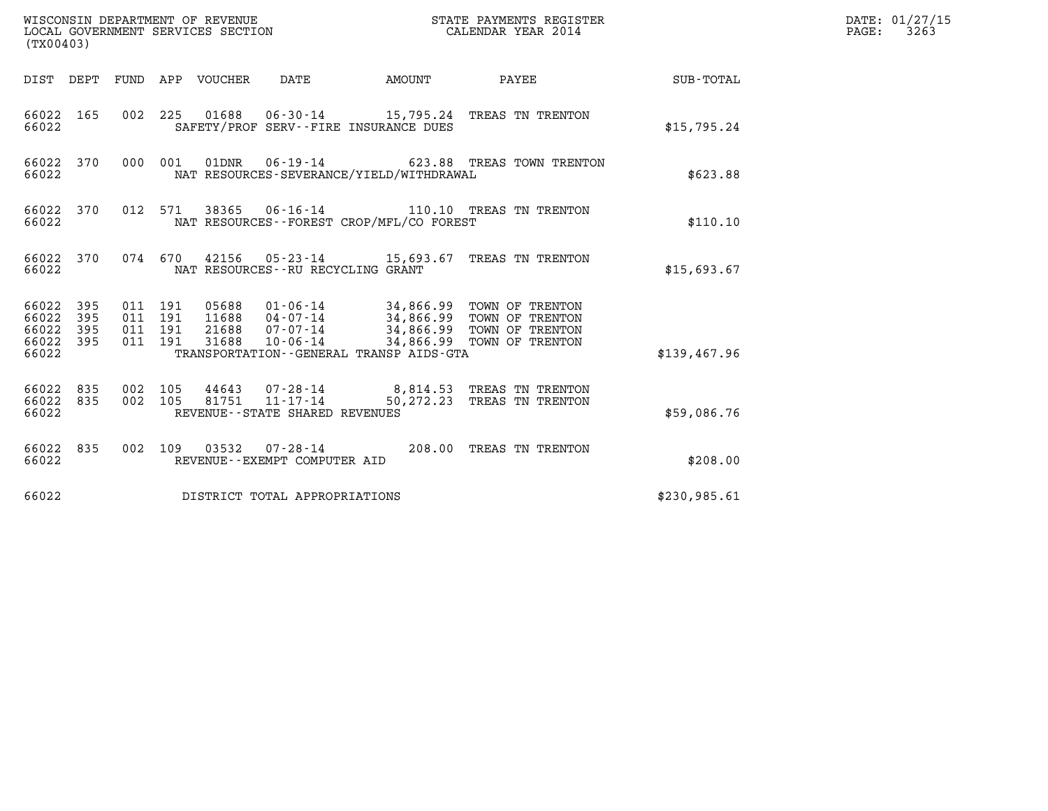| (TX00403)                                                       |                                                                     | WISCONSIN DEPARTMENT OF REVENUE<br>LOCAL GOVERNMENT SERVICES SECTION                    |                           | STATE PAYMENTS REGISTER<br>CALENDAR YEAR 2014                                                                             |              | DATE: 01/27/15<br>PAGE:<br>3263 |
|-----------------------------------------------------------------|---------------------------------------------------------------------|-----------------------------------------------------------------------------------------|---------------------------|---------------------------------------------------------------------------------------------------------------------------|--------------|---------------------------------|
|                                                                 | DIST DEPT FUND APP VOUCHER                                          | DATE                                                                                    | <b>EXAMPLE THE AMOUNT</b> | PAYEE                                                                                                                     | SUB-TOTAL    |                                 |
| 66022 165<br>66022                                              |                                                                     | SAFETY/PROF SERV--FIRE INSURANCE DUES                                                   |                           | 002 225 01688 06-30-14 15,795.24 TREAS TN TRENTON                                                                         | \$15,795.24  |                                 |
| 66022 370<br>66022                                              | 000 001<br>01DNR                                                    | $06 - 19 - 14$<br>NAT RESOURCES-SEVERANCE/YIELD/WITHDRAWAL                              |                           | 623.88 TREAS TOWN TRENTON                                                                                                 | \$623.88     |                                 |
| 66022 370<br>66022                                              | 012 571                                                             | NAT RESOURCES--FOREST CROP/MFL/CO FOREST                                                |                           | 38365  06-16-14    110.10    TREAS TN TRENTON                                                                             | \$110.10     |                                 |
| 66022 370<br>66022                                              |                                                                     | NAT RESOURCES - - RU RECYCLING GRANT                                                    |                           | 074 670 42156 05-23-14 15,693.67 TREAS TN TRENTON                                                                         | \$15,693.67  |                                 |
| 66022 395<br>66022<br>395<br>66022<br>395<br>66022 395<br>66022 | 011 191<br>05688<br>011 191<br>011 191<br>21688<br>011 191<br>31688 | 11688 04-07-14<br>07-07-14<br>$10 - 06 - 14$<br>TRANSPORTATION--GENERAL TRANSP AIDS-GTA |                           | 01-06-14 34,866.99 TOWN OF TRENTON<br>34,866.99 TOWN OF TRENTON<br>34,866.99 TOWN OF TRENTON<br>34,866.99 TOWN OF TRENTON | \$139,467.96 |                                 |
| 66022 835<br>835<br>66022<br>66022                              | 002 105<br>002 105<br>81751                                         | $44643$ $07 - 28 - 14$<br>$11 - 17 - 14$<br>REVENUE--STATE SHARED REVENUES              |                           | 8,814.53 TREAS TN TRENTON<br>50,272.23 TREAS TN TRENTON                                                                   | \$59,086.76  |                                 |
| 66022 835<br>66022                                              |                                                                     | 002 109 03532 07-28-14<br>REVENUE--EXEMPT COMPUTER AID                                  |                           | 208.00 TREAS TN TRENTON                                                                                                   | \$208.00     |                                 |
| 66022                                                           |                                                                     | DISTRICT TOTAL APPROPRIATIONS                                                           |                           |                                                                                                                           | \$230,985.61 |                                 |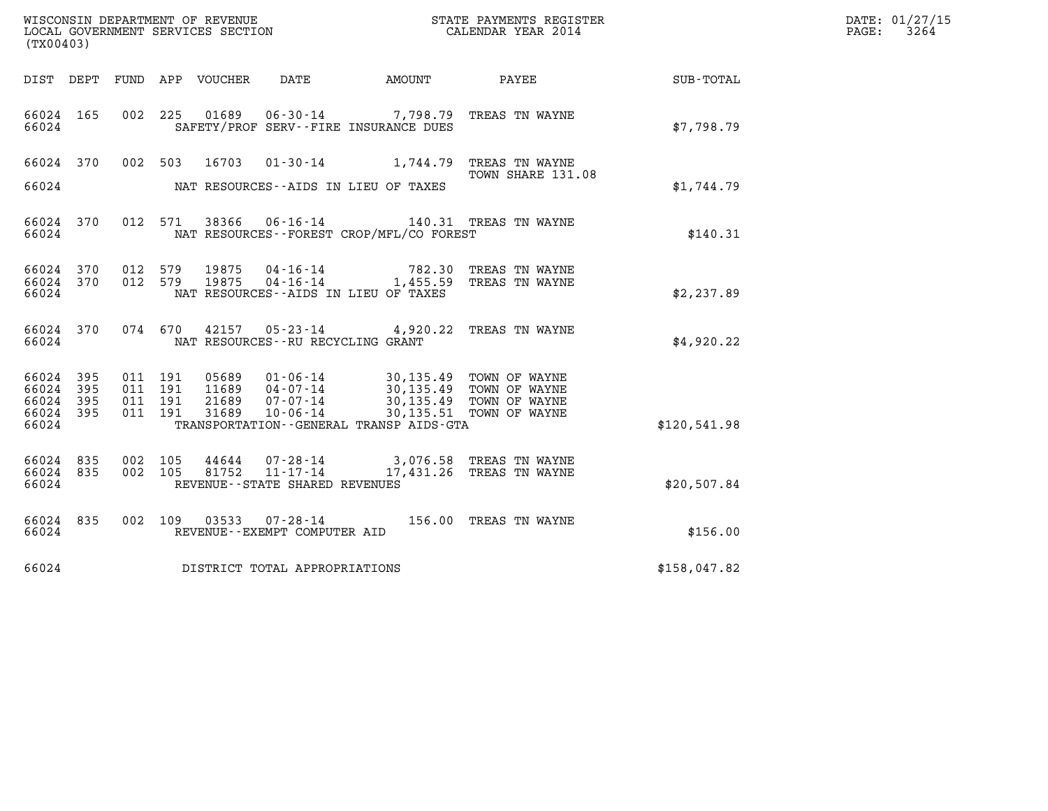| (TX00403)                                 |                            |                                          |         |                                 |                                                              |                                                                                                                                        | WISCONSIN DEPARTMENT OF REVENUE                             STATE PAYMENTS REGISTER LOCAL GOVERNMENT SERVICES SECTION                             CALENDAR YEAR 2014 |              | DATE: 01/27/15<br>PAGE:<br>3264 |
|-------------------------------------------|----------------------------|------------------------------------------|---------|---------------------------------|--------------------------------------------------------------|----------------------------------------------------------------------------------------------------------------------------------------|----------------------------------------------------------------------------------------------------------------------------------------------------------------------|--------------|---------------------------------|
|                                           |                            |                                          |         | DIST DEPT FUND APP VOUCHER DATE |                                                              | AMOUNT                                                                                                                                 | <b>PAYEE</b>                                                                                                                                                         | SUB-TOTAL    |                                 |
| 66024 165<br>66024                        |                            |                                          |         |                                 |                                                              | SAFETY/PROF SERV--FIRE INSURANCE DUES                                                                                                  | 002 225 01689 06-30-14 7,798.79 TREAS TN WAYNE                                                                                                                       | \$7,798.79   |                                 |
| 66024 370<br>66024                        |                            |                                          | 002 503 | 16703                           |                                                              | NAT RESOURCES--AIDS IN LIEU OF TAXES                                                                                                   | 01-30-14 1,744.79 TREAS TN WAYNE<br>TOWN SHARE 131.08                                                                                                                | \$1,744.79   |                                 |
|                                           |                            |                                          |         |                                 |                                                              |                                                                                                                                        |                                                                                                                                                                      |              |                                 |
| 66024 370<br>66024                        |                            |                                          |         |                                 |                                                              | NAT RESOURCES--FOREST CROP/MFL/CO FOREST                                                                                               | 012 571 38366 06-16-14 140.31 TREAS TN WAYNE                                                                                                                         | \$140.31     |                                 |
| 66024 370<br>66024 370<br>66024           |                            | 012 579<br>012 579                       |         | 19875<br>19875                  | 04-16-14<br>$04 - 16 - 14$                                   | NAT RESOURCES - AIDS IN LIEU OF TAXES                                                                                                  | 782.30 TREAS TN WAYNE<br>1,455.59 TREAS TN WAYNE                                                                                                                     | \$2,237.89   |                                 |
| 66024 370<br>66024                        |                            |                                          | 074 670 |                                 | NAT RESOURCES - - RU RECYCLING GRANT                         |                                                                                                                                        | 42157 05-23-14 4,920.22 TREAS TN WAYNE                                                                                                                               | \$4,920.22   |                                 |
| 66024<br>66024<br>66024<br>66024<br>66024 | 395<br>395<br>395<br>- 395 | 011 191<br>011 191<br>011 191<br>011 191 |         | 21689<br>31689                  | 07-07-14<br>$10 - 06 - 14$                                   | 05689  01-06-14  30,135.49  TOWN OF WAYNE<br>11689  04-07-14  30,135.49  TOWN OF WAYNE<br>TRANSPORTATION - - GENERAL TRANSP AIDS - GTA | 30,135.49 TOWN OF WAYNE<br>30,135.51 TOWN OF WAYNE                                                                                                                   | \$120,541.98 |                                 |
| 66024 835<br>66024<br>66024               | 835                        | 002 105<br>002 105                       |         | 44644<br>81752                  | $07 - 28 - 14$<br>11-17-14<br>REVENUE--STATE SHARED REVENUES |                                                                                                                                        | 3,076.58 TREAS TN WAYNE<br>17,431.26 TREAS TN WAYNE                                                                                                                  | \$20,507.84  |                                 |
| 66024 835<br>66024                        |                            |                                          |         | 002 109 03533                   | 07-28-14<br>REVENUE--EXEMPT COMPUTER AID                     |                                                                                                                                        | 156.00 TREAS TN WAYNE                                                                                                                                                | \$156.00     |                                 |
| 66024                                     |                            |                                          |         |                                 | DISTRICT TOTAL APPROPRIATIONS                                |                                                                                                                                        |                                                                                                                                                                      | \$158,047.82 |                                 |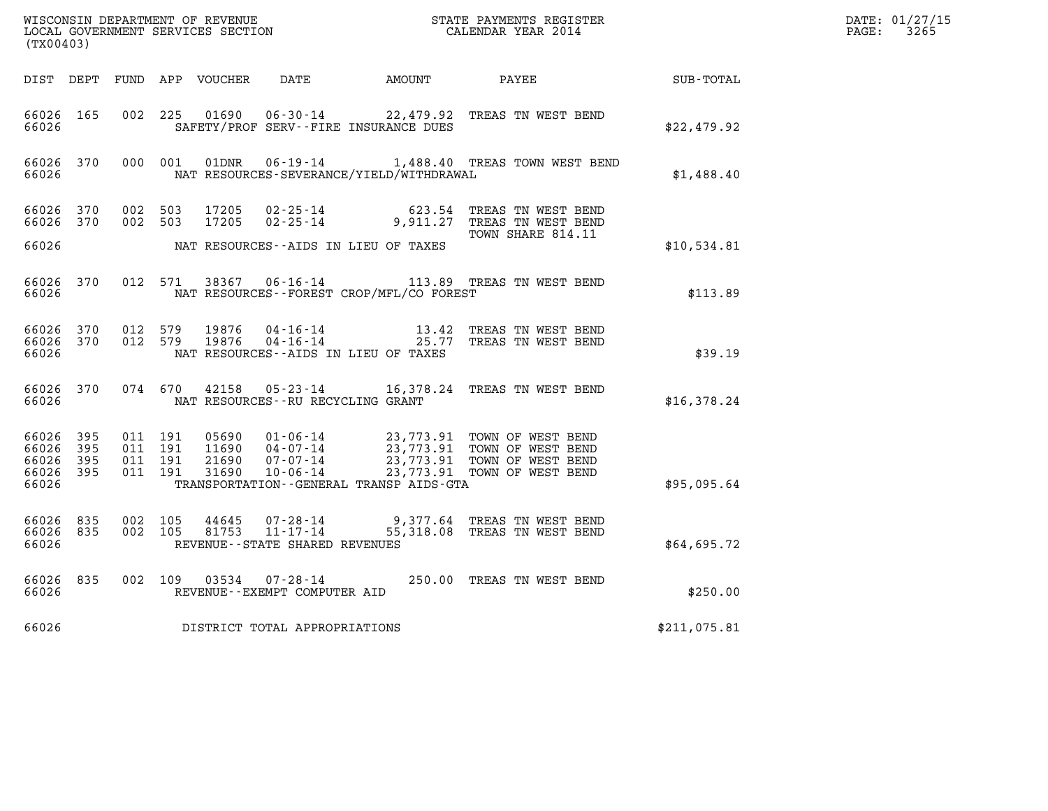| (TX00403)                                     |                     |                                          |         |                |                                                                     |                                              |                                                                                                                                                                                                                                 |              | DATE: 01/27/15<br>$\mathtt{PAGE:}$<br>3265 |
|-----------------------------------------------|---------------------|------------------------------------------|---------|----------------|---------------------------------------------------------------------|----------------------------------------------|---------------------------------------------------------------------------------------------------------------------------------------------------------------------------------------------------------------------------------|--------------|--------------------------------------------|
|                                               |                     |                                          |         |                |                                                                     |                                              |                                                                                                                                                                                                                                 |              |                                            |
| 66026 165<br>66026                            |                     | 002 225                                  |         |                |                                                                     | SAFETY/PROF SERV--FIRE INSURANCE DUES        | 01690  06-30-14  22,479.92  TREAS TN WEST BEND                                                                                                                                                                                  | \$22,479.92  |                                            |
| 66026                                         | 66026 370           | 000 001                                  |         | 01DNR          |                                                                     | NAT RESOURCES-SEVERANCE/YIELD/WITHDRAWAL     | 06-19-14 1,488.40 TREAS TOWN WEST BEND                                                                                                                                                                                          | \$1,488.40   |                                            |
| 66026 370<br>66026 370                        |                     | 002 503<br>002 503                       |         | 17205<br>17205 | 02-25-14                                                            |                                              | 623.54 TREAS TN WEST BEND<br>$02 - 25 - 14$ 9,911.27 TREAS TN WEST BEND<br>TOWN SHARE 814.11                                                                                                                                    |              |                                            |
| 66026                                         |                     |                                          |         |                |                                                                     | NAT RESOURCES--AIDS IN LIEU OF TAXES         |                                                                                                                                                                                                                                 | \$10,534.81  |                                            |
| 66026 370<br>66026                            |                     |                                          |         |                |                                                                     | NAT RESOURCES - - FOREST CROP/MFL/CO FOREST  | 012 571 38367 06-16-14 113.89 TREAS TN WEST BEND                                                                                                                                                                                | \$113.89     |                                            |
| 66026 370<br>66026                            | 66026 370           | 012 579                                  | 012 579 | 19876<br>19876 |                                                                     | NAT RESOURCES - AIDS IN LIEU OF TAXES        | 04-16-14 13.42 TREAS TN WEST BEND<br>04-16-14 25.77 TREAS TN WEST BEND                                                                                                                                                          | \$39.19      |                                            |
| 66026                                         | 66026 370           |                                          |         |                | NAT RESOURCES--RU RECYCLING GRANT                                   |                                              | 074 670 42158 05-23-14 16,378.24 TREAS TN WEST BEND                                                                                                                                                                             | \$16,378.24  |                                            |
| 66026 395<br>66026<br>66026<br>66026<br>66026 | - 395<br>395<br>395 | 011 191<br>011 191<br>011 191<br>011 191 |         | 05690          |                                                                     | TRANSPORTATION - - GENERAL TRANSP AIDS - GTA | 01-06-14 23,773.91 TOWN OF WEST BEND<br>04-07-14 23,773.91 TOWN OF WEST BEND<br>11690  04-07-14  23,773.91  TOWN OF WEST BEND<br>21690  07-07-14  23,773.91  TOWN OF WEST BEND<br>31690  10-06-14  23,773.91  TOWN OF WEST BEND | \$95,095.64  |                                            |
| 66026 835<br>66026 835<br>66026               |                     | 002 105<br>002 105                       |         | 44645          | 07-28-14<br>$81753$ $11-17-14$<br>REVENUE - - STATE SHARED REVENUES |                                              | 9,377.64 TREAS TN WEST BEND<br>55,318.08 TREAS TN WEST BEND                                                                                                                                                                     | \$64,695.72  |                                            |
| 66026 835<br>66026                            |                     |                                          |         |                | REVENUE--EXEMPT COMPUTER AID                                        |                                              | 002 109 03534 07-28-14 250.00 TREAS TN WEST BEND                                                                                                                                                                                | \$250.00     |                                            |
| 66026                                         |                     |                                          |         |                | DISTRICT TOTAL APPROPRIATIONS                                       |                                              |                                                                                                                                                                                                                                 | \$211,075.81 |                                            |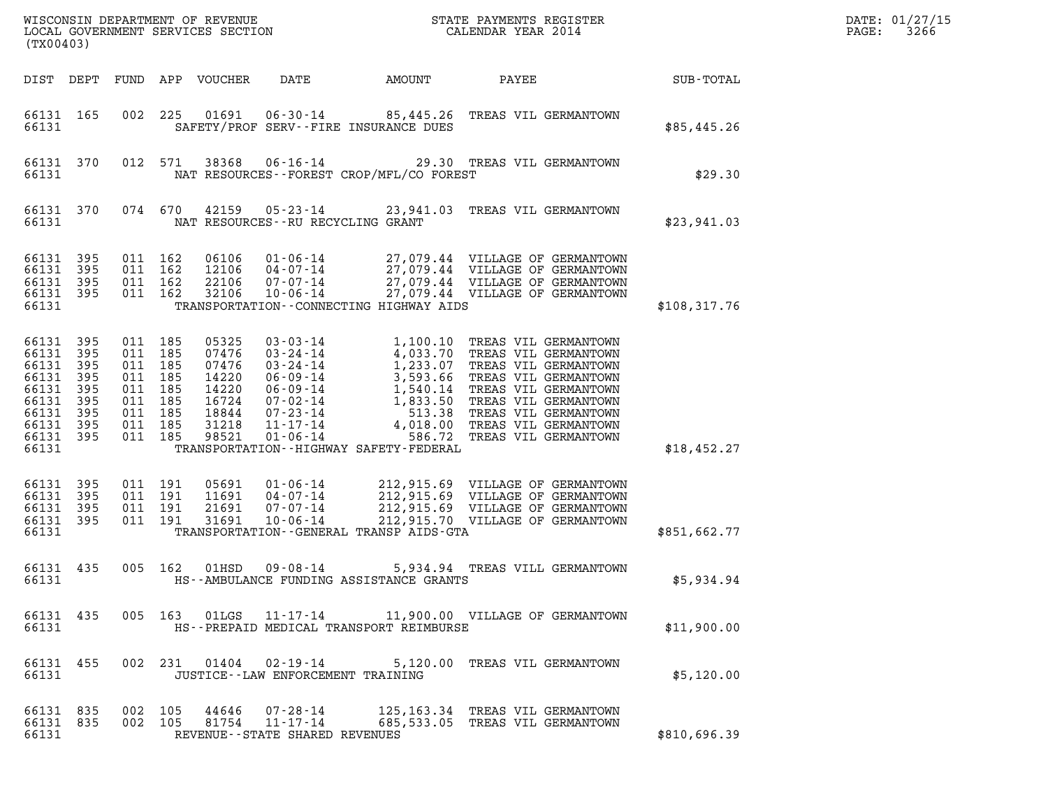| (TX00403)                                                                                  |                                                      |                                                                                                 |                                          |                                                                               |                                                          |                                             |                                                                                                                                              | DATE: 01/27/15<br>3266<br>$\mathtt{PAGE}$ : |  |
|--------------------------------------------------------------------------------------------|------------------------------------------------------|-------------------------------------------------------------------------------------------------|------------------------------------------|-------------------------------------------------------------------------------|----------------------------------------------------------|---------------------------------------------|----------------------------------------------------------------------------------------------------------------------------------------------|---------------------------------------------|--|
|                                                                                            |                                                      |                                                                                                 |                                          | DIST DEPT FUND APP VOUCHER                                                    | DATE                                                     | AMOUNT                                      | PAYEE                                                                                                                                        | SUB-TOTAL                                   |  |
| 66131 165<br>66131                                                                         |                                                      |                                                                                                 | 002 225                                  |                                                                               |                                                          | SAFETY/PROF SERV--FIRE INSURANCE DUES       | 01691  06-30-14  85,445.26 TREAS VIL GERMANTOWN                                                                                              | \$85,445.26                                 |  |
| 66131                                                                                      | 66131 370                                            |                                                                                                 | 012 571                                  | 38368                                                                         |                                                          | NAT RESOURCES -- FOREST CROP/MFL/CO FOREST  | 06-16-14 29.30 TREAS VIL GERMANTOWN                                                                                                          | \$29.30                                     |  |
| 66131 370<br>66131                                                                         |                                                      |                                                                                                 | 074 670                                  | 42159                                                                         | NAT RESOURCES--RU RECYCLING GRANT                        |                                             | 05-23-14 23,941.03 TREAS VIL GERMANTOWN                                                                                                      | \$23,941.03                                 |  |
| 66131 395<br>66131<br>66131<br>66131 395<br>66131                                          | 395<br>395                                           | 011 162                                                                                         | 011 162<br>011 162<br>011 162            | 06106<br>12106<br>22106<br>32106                                              | $01 - 06 - 14$<br>04-07-14<br>07-07-14<br>$10 - 06 - 14$ | TRANSPORTATION - - CONNECTING HIGHWAY AIDS  | 27,079.44 VILLAGE OF GERMANTOWN<br>27,079.44 VILLAGE OF GERMANTOWN<br>27,079.44 VILLAGE OF GERMANTOWN<br>27,079.44 VILLAGE OF GERMANTOWN     | \$108,317.76                                |  |
| 66131 395<br>66131<br>66131<br>66131<br>66131<br>66131<br>66131<br>66131<br>66131<br>66131 | 395<br>395<br>395<br>395<br>395<br>395<br>395<br>395 | 011 185<br>011 185<br>011 185<br>011 185<br>011 185<br>011 185<br>011 185<br>011 185<br>011 185 |                                          | 05325<br>07476<br>07476<br>14220<br>14220<br>16724<br>18844<br>31218<br>98521 |                                                          | TRANSPORTATION - - HIGHWAY SAFETY - FEDERAL | 586.72 TREAS VIL GERMANTOWN                                                                                                                  | \$18,452.27                                 |  |
| 66131 395<br>66131 395<br>66131<br>66131 395<br>66131                                      | 395                                                  |                                                                                                 | 011 191<br>011 191<br>011 191<br>011 191 | 05691<br>11691<br>21691<br>31691                                              | $01 - 06 - 14$<br>04-07-14<br>07-07-14<br>$10 - 06 - 14$ | TRANSPORTATION--GENERAL TRANSP AIDS-GTA     | 212,915.69 VILLAGE OF GERMANTOWN<br>212,915.69 VILLAGE OF GERMANTOWN<br>212,915.69 VILLAGE OF GERMANTOWN<br>212,915.70 VILLAGE OF GERMANTOWN | \$851,662.77                                |  |
| 66131 435<br>66131                                                                         |                                                      |                                                                                                 | 005 162                                  | 01HSD                                                                         | $09 - 08 - 14$                                           | HS--AMBULANCE FUNDING ASSISTANCE GRANTS     | 5,934.94 TREAS VILL GERMANTOWN                                                                                                               | \$5,934.94                                  |  |
| 66131                                                                                      | 66131 435                                            |                                                                                                 |                                          |                                                                               |                                                          | HS--PREPAID MEDICAL TRANSPORT REIMBURSE     | 005 163 01LGS 11-17-14 11,900.00 VILLAGE OF GERMANTOWN                                                                                       | \$11,900.00                                 |  |
| 66131                                                                                      | 66131 455                                            |                                                                                                 |                                          |                                                                               | JUSTICE -- LAW ENFORCEMENT TRAINING                      |                                             | 002 231 01404 02-19-14 5,120.00 TREAS VIL GERMANTOWN                                                                                         | \$5,120.00                                  |  |
| 66131 835<br>66131                                                                         | 66131 835                                            | 002 105<br>002 105                                                                              |                                          |                                                                               | REVENUE--STATE SHARED REVENUES                           |                                             | 44646  07-28-14   125,163.34   TREAS VIL GERMANTOWN<br>81754  11-17-14  685,533.05  TREAS VIL GERMANTOWN                                     | \$810,696.39                                |  |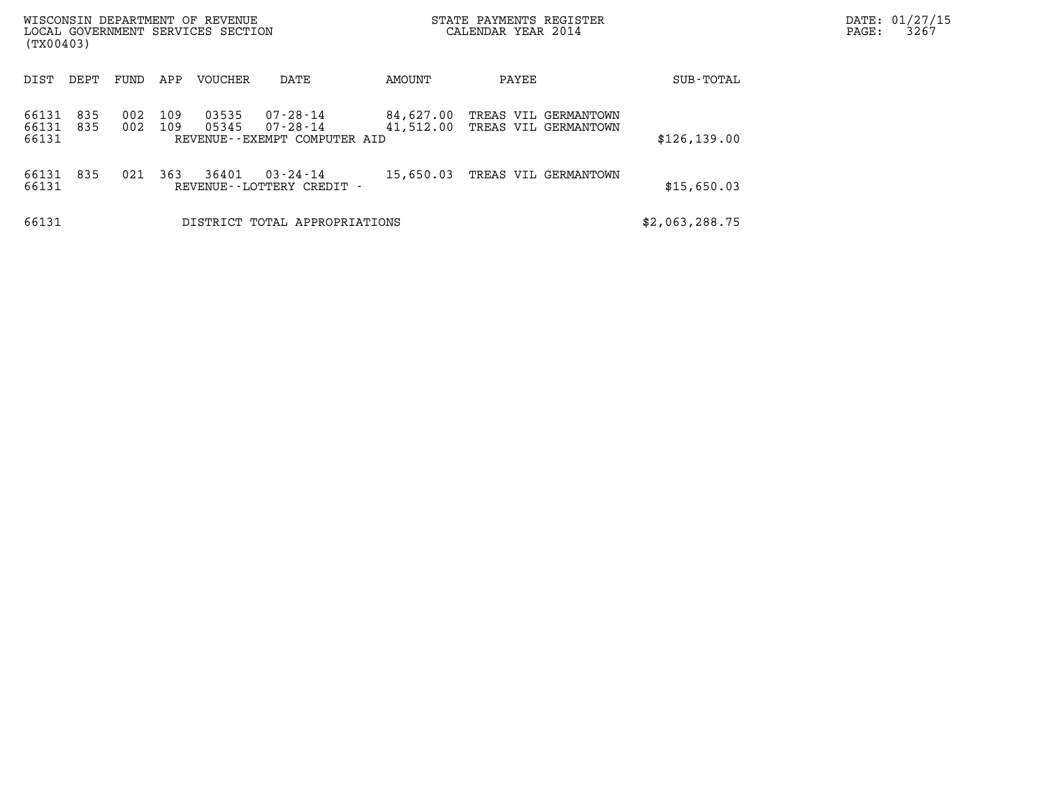| WISCONSIN DEPARTMENT OF REVENUE<br>LOCAL GOVERNMENT SERVICES SECTION<br>(TX00403) |            |            |            |                |                                                                  |                        | STATE PAYMENTS REGISTER<br>CALENDAR YEAR 2014 |                | PAGE: | DATE: 01/27/15<br>3267 |
|-----------------------------------------------------------------------------------|------------|------------|------------|----------------|------------------------------------------------------------------|------------------------|-----------------------------------------------|----------------|-------|------------------------|
| DIST                                                                              | DEPT       | FUND       | APP        | <b>VOUCHER</b> | DATE                                                             | AMOUNT                 | PAYEE                                         | SUB-TOTAL      |       |                        |
| 66131<br>66131<br>66131                                                           | 835<br>835 | 002<br>002 | 109<br>109 | 03535<br>05345 | $07 - 28 - 14$<br>$07 - 28 - 14$<br>REVENUE--EXEMPT COMPUTER AID | 84,627.00<br>41,512.00 | TREAS VIL GERMANTOWN<br>TREAS VIL GERMANTOWN  | \$126, 139.00  |       |                        |
| 66131<br>66131                                                                    | 835        | 021        | 363        | 36401          | $03 - 24 - 14$<br>REVENUE - - LOTTERY CREDIT -                   | 15,650.03              | TREAS VIL GERMANTOWN                          | \$15,650.03    |       |                        |
| 66131                                                                             |            |            |            |                | DISTRICT TOTAL APPROPRIATIONS                                    |                        |                                               | \$2,063,288.75 |       |                        |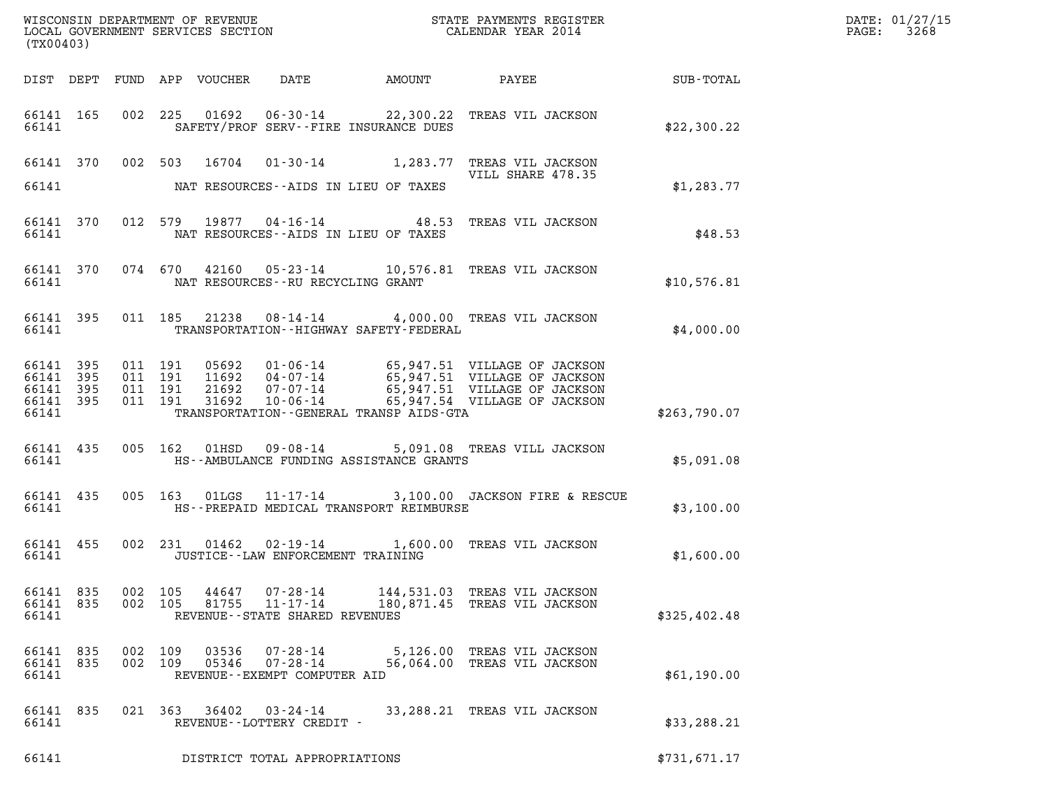| (TX00403)                       |                                             |                |                    |                                                                                       |                                                                                                                                                                                                                                                 | DATE: 01/27/15<br>PAGE: 3268                                 |              |  |
|---------------------------------|---------------------------------------------|----------------|--------------------|---------------------------------------------------------------------------------------|-------------------------------------------------------------------------------------------------------------------------------------------------------------------------------------------------------------------------------------------------|--------------------------------------------------------------|--------------|--|
|                                 |                                             |                |                    |                                                                                       |                                                                                                                                                                                                                                                 |                                                              |              |  |
|                                 | 66141                                       |                |                    |                                                                                       | 66141 165 002 225 01692 06-30-14 22,300.22 TREAS VIL JACKSON<br>SAFETY/PROF SERV--FIRE INSURANCE DUES                                                                                                                                           |                                                              | \$22,300.22  |  |
|                                 |                                             |                |                    |                                                                                       | 66141 370 002 503 16704 01-30-14 1,283.77 TREAS VIL JACKSON                                                                                                                                                                                     | VILL SHARE 478.35                                            |              |  |
|                                 |                                             |                |                    |                                                                                       | 66141 NAT RESOURCES--AIDS IN LIEU OF TAXES                                                                                                                                                                                                      |                                                              | \$1,283.77   |  |
|                                 |                                             |                |                    |                                                                                       | 66141 370 012 579 19877 04-16-14 48.53 TREAS VIL JACKSON<br>66141 MAT RESOURCES--AIDS IN LIEU OF TAXES                                                                                                                                          |                                                              | \$48.53      |  |
|                                 |                                             |                |                    | 66141 NAT RESOURCES--RU RECYCLING GRANT                                               | 66141 370 074 670 42160 05-23-14 10,576.81 TREAS VIL JACKSON                                                                                                                                                                                    |                                                              | \$10,576.81  |  |
|                                 |                                             |                |                    |                                                                                       | 66141 395 011 185 21238 08-14-14 4,000.00 TREAS VIL JACKSON<br>66141 TRANSPORTATION - HIGHWAY SAFETY - FEDERAL                                                                                                                                  |                                                              | \$4,000.00   |  |
| 66141 395<br>66141              | 66141 395 011 191<br>66141 395<br>66141 395 | 011 191        | 011 191<br>011 191 |                                                                                       | 05692  01-06-14  65,947.51  VILLAGE OF JACKSON<br>11692  04-07-14  65,947.51  VILLAGE OF JACKSON<br>21692  07-07-14  65,947.51  VILLAGE OF JACKSON<br>31692  10-06-14  65,947.54  VILLAGE OF JACKSON<br>TRANSPORTATION--GENERAL TRANSP AIDS-GTA |                                                              | \$263,790.07 |  |
|                                 | 66141                                       |                |                    |                                                                                       | 66141 435 005 162 01HSD 09-08-14 5,091.08 TREAS VILL JACKSON<br>HS--AMBULANCE FUNDING ASSISTANCE GRANTS                                                                                                                                         |                                                              | \$5,091.08   |  |
|                                 | 66141                                       |                |                    |                                                                                       | 66141 435 005 163 01LGS 11-17-14 3,100.00 JACKSON FIRE & RESCUE<br>HS--PREPAID MEDICAL TRANSPORT REIMBURSE                                                                                                                                      |                                                              | \$3,100.00   |  |
| 66141                           |                                             |                |                    | JUSTICE - - LAW ENFORCEMENT TRAINING                                                  | 66141 455 002 231 01462 02-19-14 1,600.00 TREAS VIL JACKSON                                                                                                                                                                                     |                                                              | \$1,600.00   |  |
| 66141 835<br>66141 835<br>66141 |                                             | 002 105        | 002 105            | 44647<br>07-28-14<br>81755<br>$11 - 17 - 14$<br>REVENUE - - STATE SHARED REVENUES     |                                                                                                                                                                                                                                                 | 144,531.03 TREAS VIL JACKSON<br>180,871.45 TREAS VIL JACKSON | \$325,402.48 |  |
| 66141 835<br>66141 835<br>66141 |                                             | 002<br>002 109 | 109                | 03536<br>$07 - 28 - 14$<br>05346<br>$07 - 28 - 14$<br>REVENUE - - EXEMPT COMPUTER AID |                                                                                                                                                                                                                                                 | 5,126.00 TREAS VIL JACKSON<br>56,064.00 TREAS VIL JACKSON    | \$61,190.00  |  |
| 66141 835<br>66141              |                                             |                | 021 363            | 36402<br>$03 - 24 - 14$<br>REVENUE--LOTTERY CREDIT -                                  |                                                                                                                                                                                                                                                 | 33,288.21 TREAS VIL JACKSON                                  | \$33,288.21  |  |
| 66141                           |                                             |                |                    | DISTRICT TOTAL APPROPRIATIONS                                                         |                                                                                                                                                                                                                                                 |                                                              | \$731,671.17 |  |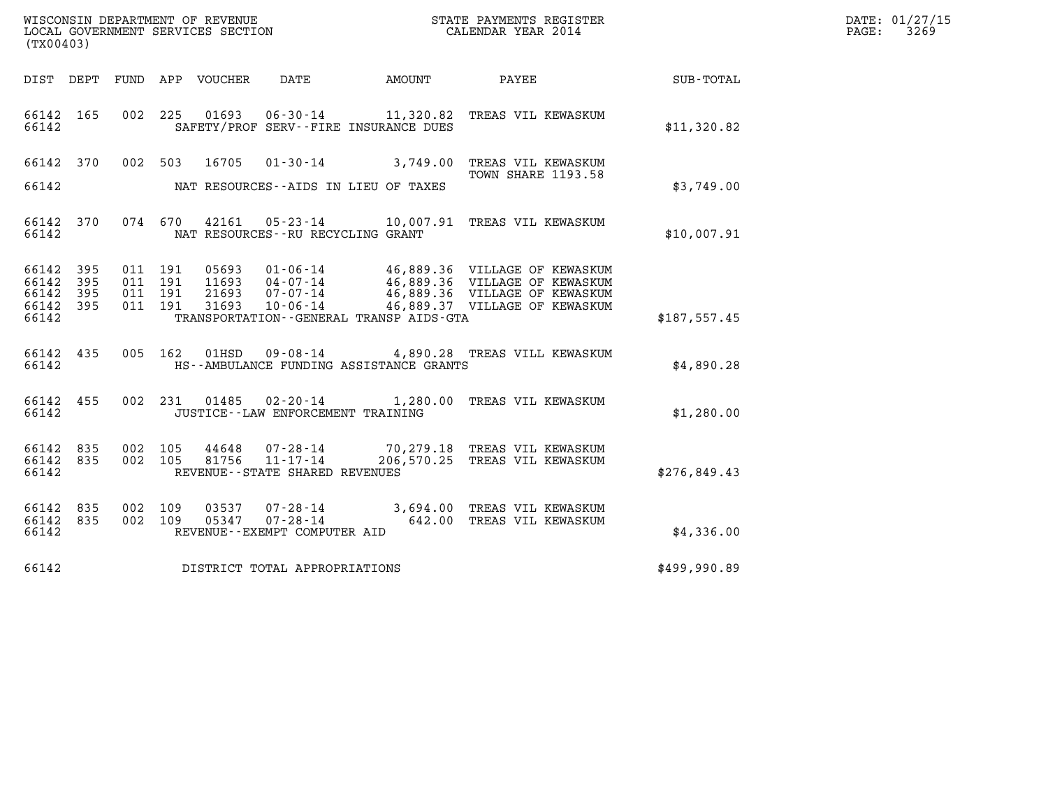| WISCONSIN DEPARTMENT OF REVENUE   | STATE PAYMENTS REGISTER | DATE: 01/27/15 |
|-----------------------------------|-------------------------|----------------|
| LOCAL GOVERNMENT SERVICES SECTION | CALENDAR YEAR 2014      | 3269<br>PAGE:  |

| (TX00403)                   |           |                    |         |       |                                                     |                                              | WISCONSIN DEPARTMENT OF REVENUE<br>LOCAL GOVERNMENT SERVICES SECTION<br>CALENDAR YEAR 2014                                                                                                               |              | DATE: 01/27/15<br>$\mathtt{PAGE:}$<br>3269 |
|-----------------------------|-----------|--------------------|---------|-------|-----------------------------------------------------|----------------------------------------------|----------------------------------------------------------------------------------------------------------------------------------------------------------------------------------------------------------|--------------|--------------------------------------------|
|                             |           |                    |         |       |                                                     |                                              | DIST DEPT FUND APP VOUCHER DATE AMOUNT PAYEE TO SUB-TOTAL                                                                                                                                                |              |                                            |
| 66142 165<br>66142          |           | 002 225            |         |       |                                                     | SAFETY/PROF SERV--FIRE INSURANCE DUES        | 01693  06-30-14   11,320.82  TREAS VIL KEWASKUM                                                                                                                                                          | \$11,320.82  |                                            |
|                             |           |                    |         |       |                                                     |                                              | 66142 370 002 503 16705 01-30-14 3,749.00 TREAS VIL KEWASKUM<br><b>TOWN SHARE 1193.58</b>                                                                                                                |              |                                            |
|                             |           |                    |         |       |                                                     | 66142 MAT RESOURCES--AIDS IN LIEU OF TAXES   |                                                                                                                                                                                                          | \$3,749.00   |                                            |
| 66142                       |           |                    |         |       | NAT RESOURCES--RU RECYCLING GRANT                   |                                              | 66142 370 074 670 42161 05-23-14 10,007.91 TREAS VIL KEWASKUM                                                                                                                                            | \$10,007.91  |                                            |
| 66142 395<br>66142          | 395       | 011 191<br>011 191 |         |       |                                                     |                                              |                                                                                                                                                                                                          |              |                                            |
| 66142<br>66142 395<br>66142 | 395       | 011 191<br>011 191 |         |       |                                                     | TRANSPORTATION - - GENERAL TRANSP AIDS - GTA | 05693  01-06-14  46,889.36  VILLAGE OF KEWASKUM<br>11693  04-07-14  46,889.36  VILLAGE OF KEWASKUM<br>21693  07-07-14  46,889.36  VILLAGE OF KEWASKUM<br>31693  10-06-14  46,889.37  VILLAGE OF KEWASKUM | \$187.557.45 |                                            |
|                             |           |                    |         |       |                                                     |                                              |                                                                                                                                                                                                          |              |                                            |
| 66142                       | 66142 435 |                    | 005 162 | 01HSD |                                                     | HS--AMBULANCE FUNDING ASSISTANCE GRANTS      | 09-08-14 4,890.28 TREAS VILL KEWASKUM                                                                                                                                                                    | \$4,890.28   |                                            |
| 66142                       | 66142 455 |                    |         |       | JUSTICE -- LAW ENFORCEMENT TRAINING                 |                                              | 002 231 01485 02-20-14 1,280.00 TREAS VIL KEWASKUM                                                                                                                                                       | \$1,280.00   |                                            |
| 66142 835<br>66142          | 66142 835 | 002 105<br>002 105 |         | 81756 | $11 - 17 - 14$<br>REVENUE - - STATE SHARED REVENUES |                                              | 44648  07-28-14  70,279.18  TREAS VIL KEWASKUM<br>206,570.25 TREAS VIL KEWASKUM                                                                                                                          | \$276,849.43 |                                            |
| 66142 835                   |           | 002 109            |         | 03537 |                                                     |                                              | 07-28-14 3,694.00 TREAS VIL KEWASKUM                                                                                                                                                                     |              |                                            |
| 66142 835<br>66142          |           | 002 109            |         | 05347 | REVENUE--EXEMPT COMPUTER AID                        |                                              | 07-28-14 642.00 TREAS VIL KEWASKUM                                                                                                                                                                       | \$4,336.00   |                                            |
| 66142                       |           |                    |         |       | DISTRICT TOTAL APPROPRIATIONS                       |                                              |                                                                                                                                                                                                          | \$499,990.89 |                                            |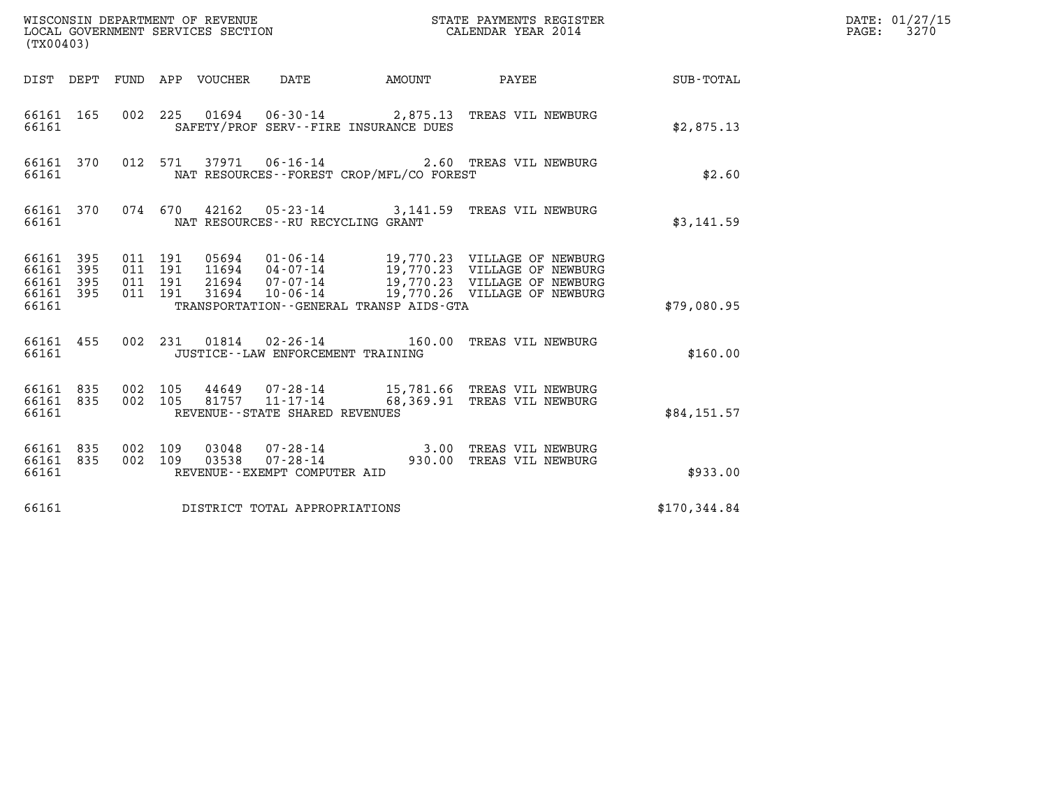| (TX00403)                                             |     |                                          |         |                                 | WISCONSIN DEPARTMENT OF REVENUE<br>LOCAL GOVERNMENT SERVICES SECTION |                                          | STATE PAYMENTS REGISTER<br>CALENDAR YEAR 2014                                                                                                                                               |                  | DATE: 01/27/15<br>3270<br>$\mathtt{PAGE:}$ |
|-------------------------------------------------------|-----|------------------------------------------|---------|---------------------------------|----------------------------------------------------------------------|------------------------------------------|---------------------------------------------------------------------------------------------------------------------------------------------------------------------------------------------|------------------|--------------------------------------------|
|                                                       |     |                                          |         | DIST DEPT FUND APP VOUCHER DATE |                                                                      | AMOUNT PAYEE                             |                                                                                                                                                                                             | <b>SUB-TOTAL</b> |                                            |
| 66161 165<br>66161                                    |     |                                          |         |                                 |                                                                      | SAFETY/PROF SERV--FIRE INSURANCE DUES    | 002 225 01694 06-30-14 2,875.13 TREAS VIL NEWBURG                                                                                                                                           | \$2,875.13       |                                            |
| 66161                                                 |     |                                          |         |                                 |                                                                      | NAT RESOURCES--FOREST CROP/MFL/CO FOREST | 66161 370 012 571 37971 06-16-14 2.60 TREAS VIL NEWBURG                                                                                                                                     | \$2.60           |                                            |
| 66161 370<br>66161                                    |     |                                          |         |                                 | NAT RESOURCES - - RU RECYCLING GRANT                                 |                                          | 074 670 42162 05-23-14 3,141.59 TREAS VIL NEWBURG                                                                                                                                           | \$3,141.59       |                                            |
| 66161 395<br>66161 395<br>66161<br>66161 395<br>66161 | 395 | 011 191<br>011 191<br>011 191<br>011 191 |         | 31694                           |                                                                      | TRANSPORTATION--GENERAL TRANSP AIDS-GTA  | 05694  01-06-14  19,770.23  VILLAGE OF NEWBURG<br>11694  04-07-14  19,770.23  VILLAGE OF NEWBURG<br>21694  07-07-14  19,770.23  VILLAGE OF NEWBURG<br>10-06-14 19,770.26 VILLAGE OF NEWBURG | \$79,080.95      |                                            |
| 66161 455<br>66161                                    |     |                                          |         |                                 | JUSTICE -- LAW ENFORCEMENT TRAINING                                  |                                          | 002 231 01814 02-26-14 160.00 TREAS VIL NEWBURG                                                                                                                                             | \$160.00         |                                            |
| 66161 835<br>66161 835<br>66161                       |     | 002 105<br>002 105                       |         |                                 | REVENUE--STATE SHARED REVENUES                                       |                                          | 44649  07-28-14  15,781.66  TREAS VIL NEWBURG<br>81757  11-17-14  68,369.91  TREAS VIL NEWBURG                                                                                              | \$84,151.57      |                                            |
| 66161 835<br>66161 835<br>66161                       |     | 002 109                                  | 002 109 | 03048<br>03538                  | REVENUE--EXEMPT COMPUTER AID                                         |                                          | 07-28-14 3.00 TREAS VIL NEWBURG<br>07-28-14 930.00 TREAS VIL NEWBURG                                                                                                                        | \$933.00         |                                            |
| 66161                                                 |     |                                          |         |                                 | DISTRICT TOTAL APPROPRIATIONS                                        |                                          |                                                                                                                                                                                             | \$170,344.84     |                                            |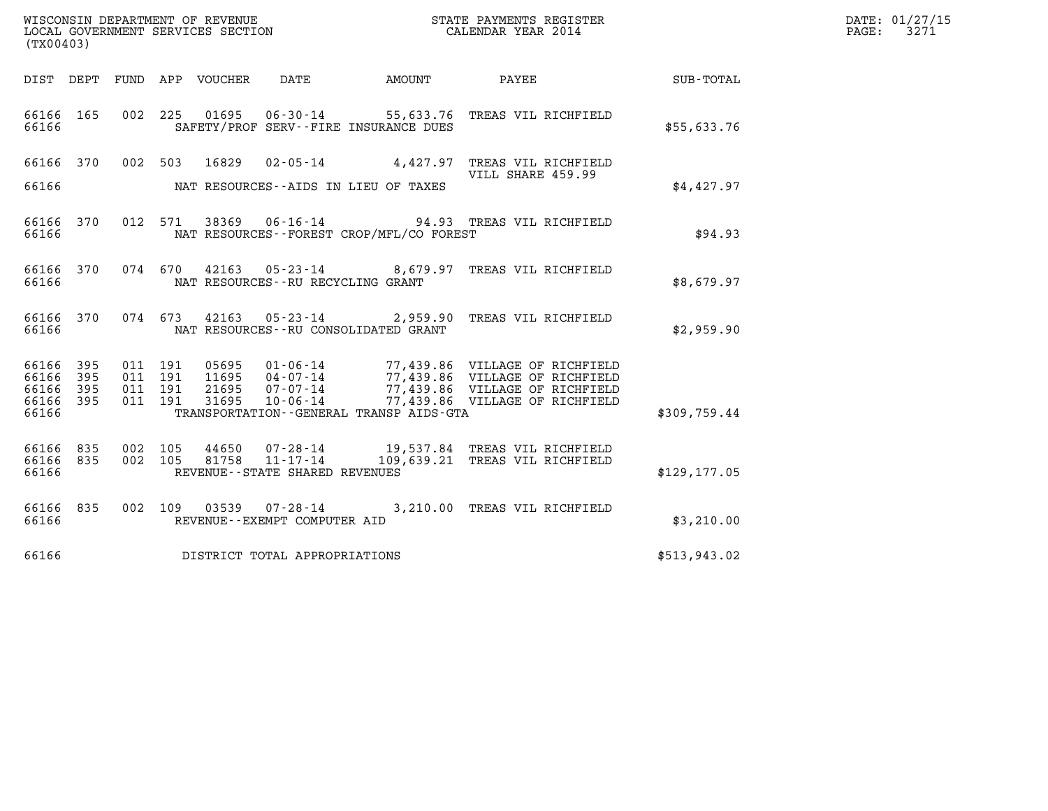| WISCONSIN DEPARTMENT OF REVENUE   | STATE PAYMENTS REGISTER | DATE: 01/27/15 |
|-----------------------------------|-------------------------|----------------|
| LOCAL GOVERNMENT SERVICES SECTION | CALENDAR YEAR 2014      | 3271<br>PAGE:  |

| LOCAL GOVERNMENT SERVICES SECTION<br>(TX00403) | WISCONSIN DEPARTMENT OF REVENUE | STATE PAYMENTS REGISTER<br>CALENDAR YEAR 2014 |            |                  |                                          |                                             |                                                                           |               |
|------------------------------------------------|---------------------------------|-----------------------------------------------|------------|------------------|------------------------------------------|---------------------------------------------|---------------------------------------------------------------------------|---------------|
| DIST                                           | DEPT                            | FUND                                          |            | APP VOUCHER DATE |                                          | <b>AMOUNT</b>                               | PAYEE                                                                     | SUB-TOTAL     |
| 66166<br>66166                                 | 165                             | 002                                           | 225        | 01695            |                                          | SAFETY/PROF SERV--FIRE INSURANCE DUES       | 06-30-14 55,633.76 TREAS VIL RICHFIELD                                    | \$55,633.76   |
| 66166                                          | 370                             | 002                                           | 503        | 16829            |                                          |                                             | 02-05-14 4.427.97 TREAS VIL RICHFIELD<br>VILL SHARE 459.99                |               |
| 66166                                          |                                 |                                               |            |                  |                                          | NAT RESOURCES--AIDS IN LIEU OF TAXES        |                                                                           | \$4,427.97    |
| 66166<br>66166                                 | 370                             | 012                                           | 571        |                  |                                          | NAT RESOURCES - - FOREST CROP/MFL/CO FOREST | 38369  06-16-14  94.93  TREAS VIL RICHFIELD                               | \$94.93       |
| 66166<br>66166                                 | 370                             |                                               | 074 670    |                  | NAT RESOURCES - - RU RECYCLING GRANT     | 42163 05-23-14 8,679.97                     | TREAS VIL RICHFIELD                                                       | \$8,679.97    |
| 66166<br>66166                                 | 370                             |                                               | 074 673    |                  |                                          | NAT RESOURCES - - RU CONSOLIDATED GRANT     | 42163 05-23-14 2,959.90 TREAS VIL RICHFIELD                               | \$2,959.90    |
| 66166<br>66166                                 | 395<br>395                      | 011<br>011                                    | 191<br>191 | 05695<br>11695   | 04-07-14                                 |                                             | 01-06-14 77,439.86 VILLAGE OF RICHFIELD<br>77,439.86 VILLAGE OF RICHFIELD |               |
| 66166<br>66166                                 | 395<br>395                      | 011<br>011                                    | 191<br>191 | 21695<br>31695   | $07 - 07 - 14$<br>10-06-14               |                                             | 77,439.86 VILLAGE OF RICHFIELD<br>77,439.86 VILLAGE OF RICHFIELD          |               |
| 66166                                          |                                 |                                               |            |                  |                                          | TRANSPORTATION--GENERAL TRANSP AIDS-GTA     |                                                                           | \$309,759.44  |
| 66166<br>66166                                 | 835<br>835                      | 002<br>002                                    | 105<br>105 | 44650            | 81758 11-17-14                           |                                             | 07-28-14 19,537.84 TREAS VIL RICHFIELD<br>109,639.21 TREAS VIL RICHFIELD  |               |
| 66166                                          |                                 |                                               |            |                  | REVENUE - - STATE SHARED REVENUES        |                                             |                                                                           | \$129, 177.05 |
| 66166<br>66166                                 | 835                             | 002                                           | 109        | 03539            | 07-28-14<br>REVENUE--EXEMPT COMPUTER AID |                                             | 3,210.00 TREAS VIL RICHFIELD                                              | \$3,210.00    |
| 66166                                          |                                 |                                               |            |                  | DISTRICT TOTAL APPROPRIATIONS            |                                             |                                                                           | \$513,943.02  |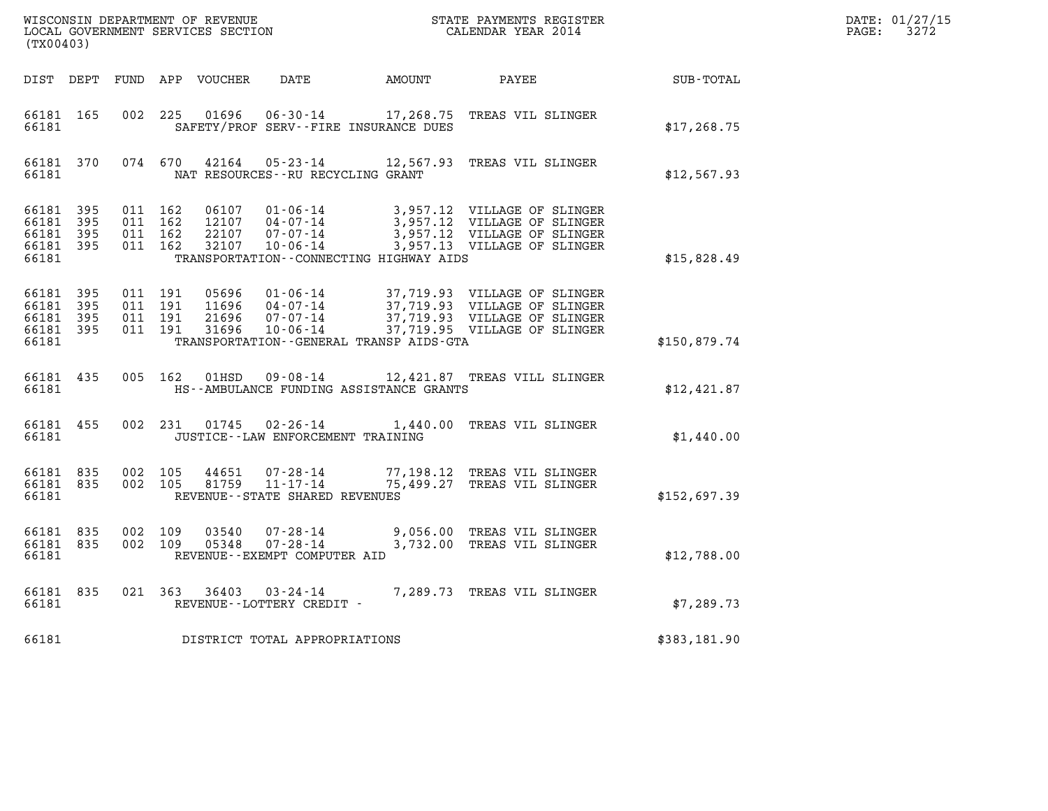| (TX00403)                                                 |       |                                          |         | WISCONSIN DEPARTMENT OF REVENUE<br>LOCAL GOVERNMENT SERVICES SECTION |                                                            | STATE PAYMENTS REGISTER<br>CALENDAR YEAR 2014                                                                                                                                               |              | DATE: 01/27/15<br>$\mathtt{PAGE:}$<br>3272 |
|-----------------------------------------------------------|-------|------------------------------------------|---------|----------------------------------------------------------------------|------------------------------------------------------------|---------------------------------------------------------------------------------------------------------------------------------------------------------------------------------------------|--------------|--------------------------------------------|
| DIST DEPT                                                 |       |                                          |         | FUND APP VOUCHER                                                     |                                                            | DATE AMOUNT PAYEE                                                                                                                                                                           | SUB-TOTAL    |                                            |
| 66181 165<br>66181                                        |       | 002 225                                  |         |                                                                      | SAFETY/PROF SERV--FIRE INSURANCE DUES                      | 01696  06-30-14  17,268.75  TREAS VIL SLINGER                                                                                                                                               | \$17, 268.75 |                                            |
| 66181 370<br>66181                                        |       |                                          | 074 670 |                                                                      | NAT RESOURCES--RU RECYCLING GRANT                          |                                                                                                                                                                                             | \$12,567.93  |                                            |
| 66181 395<br>66181 395<br>66181 395<br>66181 395<br>66181 |       | 011 162<br>011 162<br>011 162<br>011 162 |         | 06107<br>22107<br>32107                                              | 07-07-14<br>TRANSPORTATION--CONNECTING HIGHWAY AIDS        | 01-06-14 3,957.12 VILLAGE OF SLINGER<br>04-07-14 3,957.12 VILLAGE OF SLINGER<br>3,957.12 VILLAGE OF SLINGER<br>07-07-14 3,957.12 VILLAGE OF SLINGER<br>10-06-14 3,957.13 VILLAGE OF SLINGER | \$15,828.49  |                                            |
| 66181 395<br>66181<br>66181 395<br>66181 395<br>66181     | - 395 | 011 191<br>011 191<br>011 191<br>011 191 |         | 05696<br>11696<br>21696<br>31696                                     | TRANSPORTATION--GENERAL TRANSP AIDS-GTA                    | 01-06-14 37,719.93 VILLAGE OF SLINGER<br>04-07-14 37,719.93 VILLAGE OF SLINGER<br>07-07-14 37,719.93 VILLAGE OF SLINGER<br>10-06-14 37,719.95 VILLAGE OF SLINGER                            | \$150,879.74 |                                            |
| 66181 435<br>66181                                        |       |                                          | 005 162 | 01HSD                                                                | HS--AMBULANCE FUNDING ASSISTANCE GRANTS                    | 09-08-14 12,421.87 TREAS VILL SLINGER                                                                                                                                                       | \$12,421.87  |                                            |
| 66181 455<br>66181                                        |       |                                          |         |                                                                      | JUSTICE - - LAW ENFORCEMENT TRAINING                       | 002 231 01745 02-26-14 1,440.00 TREAS VIL SLINGER                                                                                                                                           | \$1,440.00   |                                            |
| 66181 835<br>66181 835<br>66181                           |       | 002 105<br>002 105                       |         | 44651<br>81759                                                       | 11-17-14<br>REVENUE--STATE SHARED REVENUES                 | 07-28-14 77,198.12 TREAS VIL SLINGER<br>75,499.27 TREAS VIL SLINGER                                                                                                                         | \$152,697.39 |                                            |
| 66181 835<br>66181 835<br>66181                           |       | 002 109<br>002 109                       |         | 03540<br>05348                                                       | 07-28-14<br>$07 - 28 - 14$<br>REVENUE--EXEMPT COMPUTER AID | 9,056.00 TREAS VIL SLINGER<br>3,732.00 TREAS VIL SLINGER                                                                                                                                    | \$12,788.00  |                                            |
| 66181 835<br>66181                                        |       |                                          |         |                                                                      | 021 363 36403 03-24-14<br>REVENUE--LOTTERY CREDIT -        | 7,289.73 TREAS VIL SLINGER                                                                                                                                                                  | \$7,289.73   |                                            |
| 66181                                                     |       |                                          |         |                                                                      | DISTRICT TOTAL APPROPRIATIONS                              |                                                                                                                                                                                             | \$383,181.90 |                                            |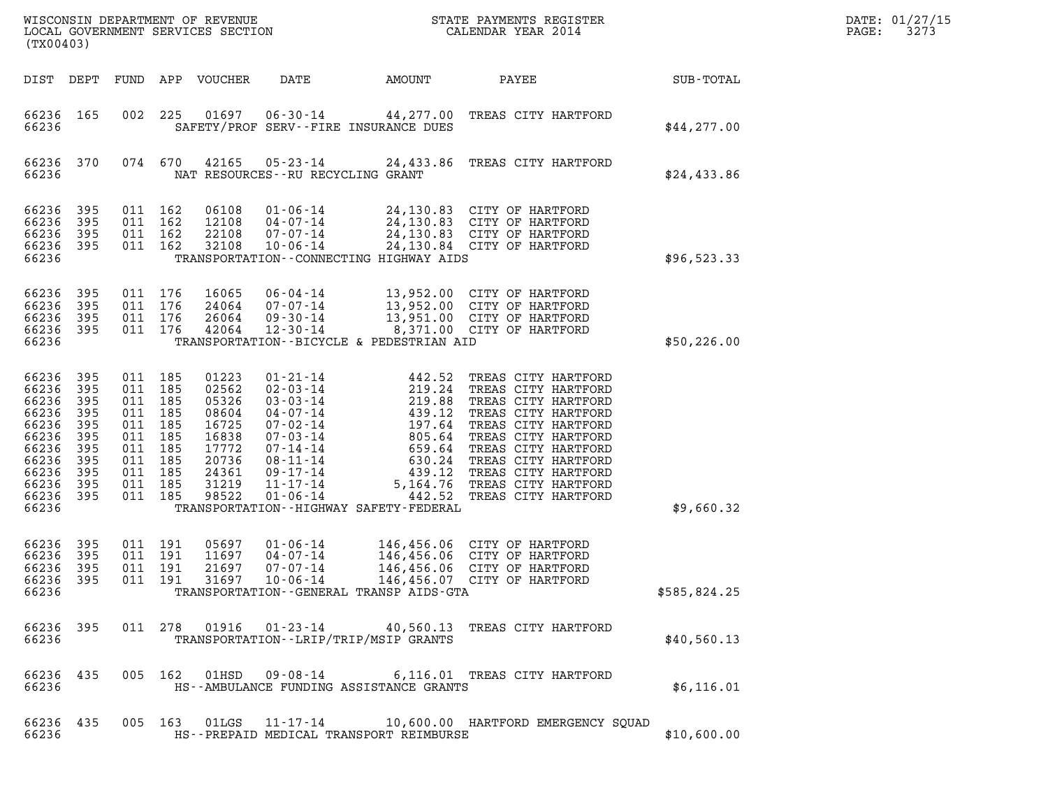| (TX00403)                                                                                                |                                                                           |                                                                                                                   |     |                                                                                                 |                                                          |                                                                                                                                                                                                                                                                                                                                                                                 |                                                                                                                                                                                                                                                                  |              | DATE: 01/27/15<br>3273<br>PAGE: |
|----------------------------------------------------------------------------------------------------------|---------------------------------------------------------------------------|-------------------------------------------------------------------------------------------------------------------|-----|-------------------------------------------------------------------------------------------------|----------------------------------------------------------|---------------------------------------------------------------------------------------------------------------------------------------------------------------------------------------------------------------------------------------------------------------------------------------------------------------------------------------------------------------------------------|------------------------------------------------------------------------------------------------------------------------------------------------------------------------------------------------------------------------------------------------------------------|--------------|---------------------------------|
| DIST DEPT                                                                                                |                                                                           |                                                                                                                   |     | FUND APP VOUCHER                                                                                | DATE                                                     | AMOUNT                                                                                                                                                                                                                                                                                                                                                                          | PAYEE                                                                                                                                                                                                                                                            | SUB-TOTAL    |                                 |
| 66236 165<br>66236                                                                                       |                                                                           | 002                                                                                                               | 225 |                                                                                                 | $01697$ $06-30-14$                                       | SAFETY/PROF SERV--FIRE INSURANCE DUES                                                                                                                                                                                                                                                                                                                                           | 44,277.00 TREAS CITY HARTFORD                                                                                                                                                                                                                                    | \$44,277.00  |                                 |
| 66236 370<br>66236                                                                                       |                                                                           | 074 670                                                                                                           |     | 42165                                                                                           | 05-23-14<br>NAT RESOURCES -- RU RECYCLING GRANT          |                                                                                                                                                                                                                                                                                                                                                                                 | 24,433.86 TREAS CITY HARTFORD                                                                                                                                                                                                                                    | \$24,433.86  |                                 |
| 66236<br>66236<br>66236<br>66236<br>66236                                                                | 395<br>395<br>395<br>395                                                  | 011 162<br>011 162<br>011 162<br>011 162                                                                          |     | 06108<br>12108<br>22108<br>32108                                                                | $01 - 06 - 14$<br>04-07-14<br>07-07-14<br>$10 - 06 - 14$ | TRANSPORTATION - - CONNECTING HIGHWAY AIDS                                                                                                                                                                                                                                                                                                                                      | 24,130.83 CITY OF HARTFORD<br>24,130.83   CITY OF HARTFORD<br>24,130.83   CITY OF HARTFORD<br>24,130.84 CITY OF HARTFORD                                                                                                                                         | \$96,523.33  |                                 |
| 66236<br>66236<br>66236<br>66236<br>66236                                                                | 395<br>395<br>395<br>395                                                  | 011 176<br>011 176<br>011 176<br>011 176                                                                          |     | 16065<br>24064<br>26064<br>42064                                                                | 06-04-14<br>07-07-14<br>09-30-14<br>12-30-14             | TRANSPORTATION--BICYCLE & PEDESTRIAN AID                                                                                                                                                                                                                                                                                                                                        | 13,952.00 CITY OF HARTFORD<br>13,952.00 CITY OF HARTFORD<br>13,951.00 CITY OF HARTFORD<br>8,371.00 CITY OF HARTFORD                                                                                                                                              | \$50,226.00  |                                 |
| 66236<br>66236<br>66236<br>66236<br>66236<br>66236<br>66236<br>66236<br>66236<br>66236<br>66236<br>66236 | 395<br>395<br>395<br>395<br>395<br>395<br>395<br>395<br>395<br>395<br>395 | 011 185<br>011<br>011 185<br>011 185<br>011 185<br>011 185<br>011 185<br>011 185<br>011 185<br>011 185<br>011 185 | 185 | 01223<br>02562<br>05326<br>08604<br>16725<br>16838<br>17772<br>20736<br>24361<br>31219<br>98522 | 11-17-14<br>$01 - 06 - 14$                               | 442.52<br>01-21-14<br>02-03-14<br>03-03-14<br>04-07-14<br>07-02-14<br>07-03-14<br>07-14-14<br>08-11-14<br>08-11-14<br>01-17-14<br>01-17-14<br>01-17-14<br>02-14<br>03-24<br>03-11-14<br>03-11-14<br>03-14<br>03-11-14<br>03-11-14<br>03-24<br>03-11-14<br>03-11-14<br>03-24<br>03-11-1<br>197.64<br>659.64<br>5,164.76<br>442.52<br>TRANSPORTATION - - HIGHWAY SAFETY - FEDERAL | TREAS CITY HARTFORD<br>TREAS CITY HARTFORD<br>TREAS CITY HARTFORD<br>TREAS CITY HARTFORD<br>TREAS CITY HARTFORD<br>TREAS CITY HARTFORD<br>TREAS CITY HARTFORD<br>TREAS CITY HARTFORD<br>439.12 TREAS CITY HARTFORD<br>TREAS CITY HARTFORD<br>TREAS CITY HARTFORD | \$9,660.32   |                                 |
| 66236<br>66236<br>66236<br>66236                                                                         | - 395<br>395<br>395                                                       | 011 191<br>011 191<br>011 191                                                                                     |     | 05697<br>11697<br>21697                                                                         | $01 - 06 - 14$<br>$04 - 07 - 14$<br>$07 - 07 - 14$       | TRANSPORTATION--GENERAL TRANSP AIDS-GTA                                                                                                                                                                                                                                                                                                                                         | 146,456.06 CITY OF HARTFORD<br>146,456.06 CITY OF HARTFORD<br>146,456.06 CITY OF HARTFORD<br>66236 395 011 191 31697 10-06-14 146,456.07 CITY OF HARTFORD                                                                                                        | \$585,824.25 |                                 |
| 66236 395<br>66236                                                                                       |                                                                           |                                                                                                                   |     |                                                                                                 |                                                          | TRANSPORTATION - - LRIP/TRIP/MSIP GRANTS                                                                                                                                                                                                                                                                                                                                        | 011 278 01916 01-23-14 40,560.13 TREAS CITY HARTFORD                                                                                                                                                                                                             | \$40,560.13  |                                 |
| 66236 435<br>66236                                                                                       |                                                                           |                                                                                                                   |     |                                                                                                 |                                                          | HS--AMBULANCE FUNDING ASSISTANCE GRANTS                                                                                                                                                                                                                                                                                                                                         | 005 162 01HSD 09-08-14 6,116.01 TREAS CITY HARTFORD                                                                                                                                                                                                              | \$6,116.01   |                                 |
| 66236 435<br>66236                                                                                       |                                                                           |                                                                                                                   |     |                                                                                                 |                                                          | HS--PREPAID MEDICAL TRANSPORT REIMBURSE                                                                                                                                                                                                                                                                                                                                         | 005 163 01LGS 11-17-14 10,600.00 HARTFORD EMERGENCY SQUAD                                                                                                                                                                                                        | \$10,600.00  |                                 |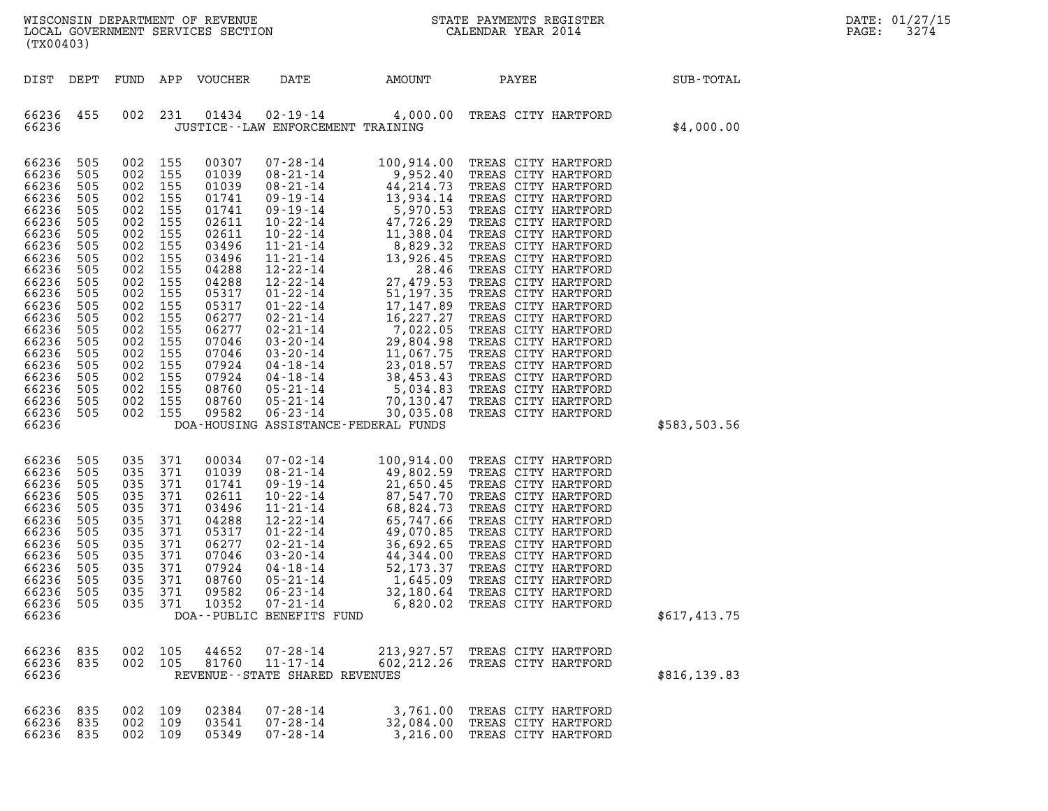| WISCONSIN DEPARTMENT OF REVENUE   | STATE PAYMENTS REGISTER | DATE: 01/27/15 |
|-----------------------------------|-------------------------|----------------|
| LOCAL GOVERNMENT SERVICES SECTION | CALENDAR YEAR 2014      | 3274<br>PAGE:  |

| (TX00403)                                                                                                                                                                                                   |                                                                                                                                                        |                                                                                                                                                                                                                                                |                                                                                                                                                                                                    |                                                                                                                                                                                                                                                                                                                                                                                                           |                                   | WISCONSIN DEPARTMENT OF REVENUE<br>LOCAL GOVERNMENT SERVICES SECTION THE STATE PAYMENTS REGISTER<br>(TWARA 2014                                                                                                                                                                                                            |               | DATE: 01/27/15<br>PAGE:<br>3274 |
|-------------------------------------------------------------------------------------------------------------------------------------------------------------------------------------------------------------|--------------------------------------------------------------------------------------------------------------------------------------------------------|------------------------------------------------------------------------------------------------------------------------------------------------------------------------------------------------------------------------------------------------|----------------------------------------------------------------------------------------------------------------------------------------------------------------------------------------------------|-----------------------------------------------------------------------------------------------------------------------------------------------------------------------------------------------------------------------------------------------------------------------------------------------------------------------------------------------------------------------------------------------------------|-----------------------------------|----------------------------------------------------------------------------------------------------------------------------------------------------------------------------------------------------------------------------------------------------------------------------------------------------------------------------|---------------|---------------------------------|
| DIST DEPT                                                                                                                                                                                                   |                                                                                                                                                        |                                                                                                                                                                                                                                                | FUND APP VOUCHER                                                                                                                                                                                   | DATE AMOUNT                                                                                                                                                                                                                                                                                                                                                                                               |                                   | PAYEE                                                                                                                                                                                                                                                                                                                      | SUB-TOTAL     |                                 |
| 66236 455<br>66236                                                                                                                                                                                          |                                                                                                                                                        | 002 231                                                                                                                                                                                                                                        | 01434                                                                                                                                                                                              | JUSTICE -- LAW ENFORCEMENT TRAINING                                                                                                                                                                                                                                                                                                                                                                       |                                   | 02-19-14 4,000.00 TREAS CITY HARTFORD                                                                                                                                                                                                                                                                                      | \$4,000.00    |                                 |
| 66236<br>66236<br>66236<br>66236<br>66236<br>66236<br>66236<br>66236<br>66236<br>66236<br>66236<br>66236<br>66236<br>66236<br>66236<br>66236<br>66236<br>66236<br>66236<br>66236<br>66236<br>66236<br>66236 | 505<br>505<br>505<br>505<br>505<br>505<br>505<br>505<br>505<br>505<br>505<br>505<br>505<br>505<br>505<br>505<br>505<br>505<br>505<br>505<br>505<br>505 | 002 155<br>002 155<br>002 155<br>002 155<br>002 155<br>002 155<br>002 155<br>002 155<br>002 155<br>002 155<br>002 155<br>002 155<br>002 155<br>002 155<br>002 155<br>002 155<br>002 155<br>002 155<br>002 155<br>002 155<br>002 155<br>002 155 | 00307<br>01039<br>01039<br>01741<br>01741<br>02611<br>02611<br>03496<br>03496<br>04288<br>04288<br>05317<br>05317<br>06277<br>06277<br>07046<br>07046<br>07924<br>07924<br>08760<br>08760<br>09582 | DOA-HOUSING ASSISTANCE-FEDERAL FUNDS                                                                                                                                                                                                                                                                                                                                                                      |                                   |                                                                                                                                                                                                                                                                                                                            | \$583,503.56  |                                 |
| 66236<br>66236<br>66236<br>66236<br>66236<br>66236<br>66236<br>66236<br>66236<br>66236<br>66236<br>66236<br>66236<br>66236                                                                                  | 505<br>505<br>505<br>505<br>505<br>505<br>505<br>505<br>505<br>505<br>505<br>505<br>505                                                                | 035 371<br>035 371<br>035 371<br>035 371<br>035 371<br>035 371<br>035 371<br>035 371<br>035 371<br>035 371<br>035 371<br>035 371<br>035 371                                                                                                    | 00034<br>01039<br>01741<br>02611<br>03496<br>04288<br>05317<br>06277<br>07046<br>07924<br>08760<br>09582<br>10352                                                                                  | $\begin{array}{llllll} 07\cdot 02\cdot 14 & 100\,, 914\cdot 00 \\ 08\cdot 21\cdot 14 & 49\,, 802\cdot 59 \\ 09\cdot 19\cdot 14 & 21\,, 650\cdot 45 \\ 10\cdot 22\cdot 14 & 87\,, 547\cdot 70 \\ 11\cdot 21\cdot 14 & 68\,, 824\cdot 73 \\ 12\cdot 22\cdot 14 & 65\,, 747\cdot 66 \\ 01\cdot 22\cdot 14 & 49\,, 070\cdot 85 \\ 02\cdot 2$<br>$06 - 23 - 14$<br>$07 - 21 - 14$<br>DOA--PUBLIC BENEFITS FUND |                                   | TREAS CITY HARTFORD<br>TREAS CITY HARTFORD<br>TREAS CITY HARTFORD<br>TREAS CITY HARTFORD<br>TREAS CITY HARTFORD<br>TREAS CITY HARTFORD<br>TREAS CITY HARTFORD<br>TREAS CITY HARTFORD<br>TREAS CITY HARTFORD<br>TREAS CITY HARTFORD<br>TREAS CITY HARTFORD<br>32,180.64 TREAS CITY HARTFORD<br>6,820.02 TREAS CITY HARTFORD | \$617,413.75  |                                 |
| 66236 835<br>66236<br>66236                                                                                                                                                                                 | 835<br>002                                                                                                                                             | 002 105<br>105                                                                                                                                                                                                                                 | 44652<br>81760                                                                                                                                                                                     | $07 - 28 - 14$<br>$11 - 17 - 14$<br>REVENUE--STATE SHARED REVENUES                                                                                                                                                                                                                                                                                                                                        | 602,212.26                        | 213,927.57 TREAS CITY HARTFORD<br>TREAS CITY HARTFORD                                                                                                                                                                                                                                                                      | \$816, 139.83 |                                 |
| 66236 835<br>66236 835<br>66236 835                                                                                                                                                                         | 002                                                                                                                                                    | 002 109<br>109<br>002 109                                                                                                                                                                                                                      | 02384<br>03541<br>05349                                                                                                                                                                            | $07 - 28 - 14$<br>$07 - 28 - 14$<br>$07 - 28 - 14$                                                                                                                                                                                                                                                                                                                                                        | 3,761.00<br>32,084.00<br>3,216.00 | TREAS CITY HARTFORD<br>TREAS CITY HARTFORD<br>TREAS CITY HARTFORD                                                                                                                                                                                                                                                          |               |                                 |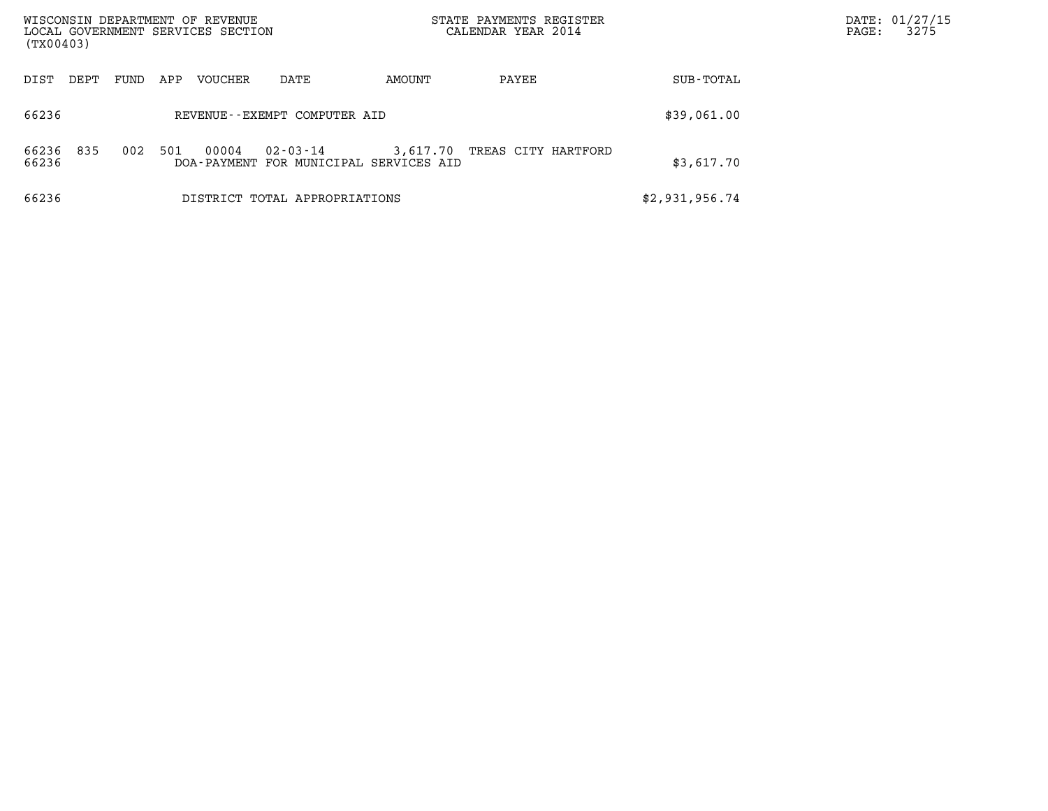| WISCONSIN DEPARTMENT OF REVENUE<br>LOCAL GOVERNMENT SERVICES SECTION<br>(TX00403)                                    | STATE PAYMENTS REGISTER<br>CALENDAR YEAR 2014 | DATE: 01/27/15<br>3275<br>PAGE: |
|----------------------------------------------------------------------------------------------------------------------|-----------------------------------------------|---------------------------------|
| DEPT<br>APP<br>VOUCHER<br>AMOUNT<br>FUND<br>DATE<br>DIST                                                             | SUB-TOTAL<br>PAYEE                            |                                 |
| 66236<br>REVENUE--EXEMPT COMPUTER AID                                                                                | \$39,061.00                                   |                                 |
| 835<br>00004<br>66236<br>002<br>501<br>$02 - 03 - 14$<br>3,617.70<br>66236<br>DOA-PAYMENT FOR MUNICIPAL SERVICES AID | TREAS CITY HARTFORD<br>\$3,617.70             |                                 |
| 66236<br>DISTRICT TOTAL APPROPRIATIONS                                                                               | \$2,931,956.74                                |                                 |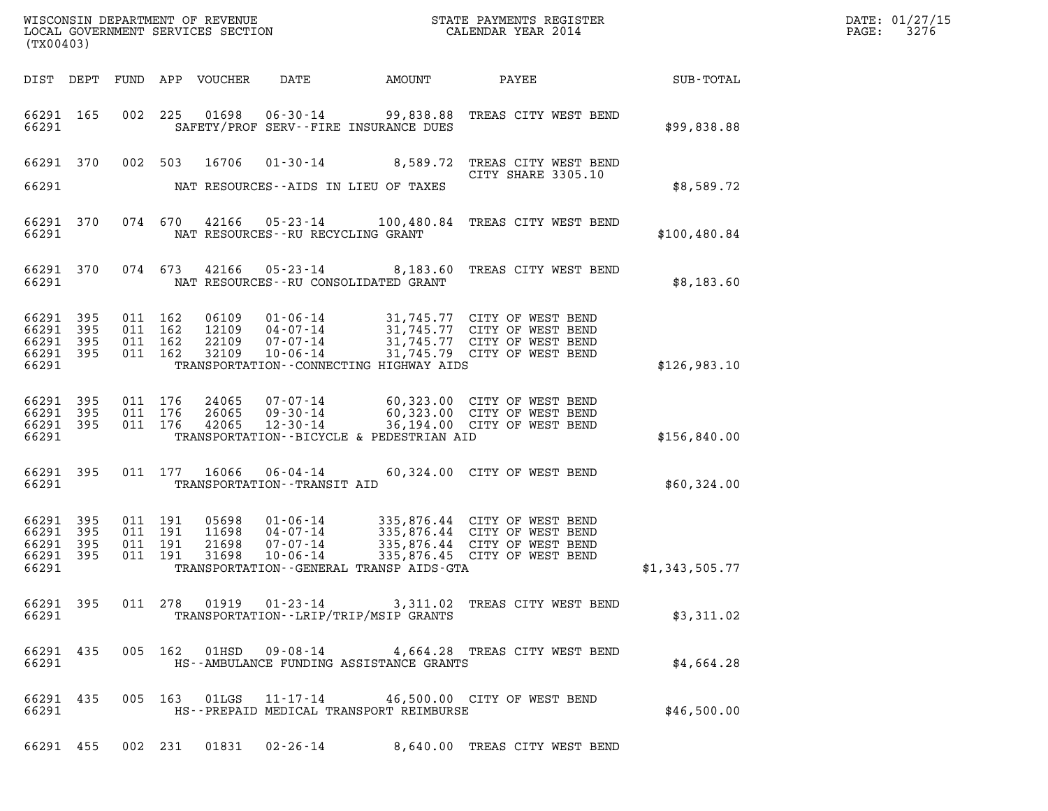| DATE: | 01/27/15 |
|-------|----------|
| PAGE: | 3276     |

| (TX00403)                                                 |           |                               |                    |                                  |                                                    |                                          |                                                                                                                                                     |                  | DATE: 01/27/15<br>3276<br>$\mathtt{PAGE:}$ |
|-----------------------------------------------------------|-----------|-------------------------------|--------------------|----------------------------------|----------------------------------------------------|------------------------------------------|-----------------------------------------------------------------------------------------------------------------------------------------------------|------------------|--------------------------------------------|
|                                                           |           |                               |                    | DIST DEPT FUND APP VOUCHER       | DATE                                               | AMOUNT                                   | PAYEE                                                                                                                                               | <b>SUB-TOTAL</b> |                                            |
| 66291 165<br>66291                                        |           |                               |                    |                                  |                                                    | SAFETY/PROF SERV--FIRE INSURANCE DUES    | 002  225  01698  06-30-14  99,838.88  TREAS CITY WEST BEND                                                                                          | \$99,838.88      |                                            |
| 66291 370<br>66291                                        |           |                               | 002 503            | 16706                            |                                                    | NAT RESOURCES--AIDS IN LIEU OF TAXES     | 01-30-14 8,589.72 TREAS CITY WEST BEND<br>CITY SHARE 3305.10                                                                                        | \$8,589.72       |                                            |
| 66291 370<br>66291                                        |           |                               |                    |                                  |                                                    | NAT RESOURCES--RU RECYCLING GRANT        | 074 670 42166 05-23-14 100,480.84 TREAS CITY WEST BEND                                                                                              | \$100, 480.84    |                                            |
| 66291 370<br>66291                                        |           |                               | 074 673            |                                  |                                                    | NAT RESOURCES - - RU CONSOLIDATED GRANT  | 42166  05-23-14  8,183.60 TREAS CITY WEST BEND                                                                                                      | \$8,183.60       |                                            |
| 66291 395<br>66291 395<br>66291 395<br>66291 395<br>66291 |           | 011 162<br>011 162<br>011 162 | 011 162            | 06109<br>12109<br>22109<br>32109 | $10 - 06 - 14$                                     | TRANSPORTATION--CONNECTING HIGHWAY AIDS  | 01-06-14 31,745.77 CITY OF WEST BEND<br>04-07-14 31,745.77 CITY OF WEST BEND<br>07-07-14 31,745.77 CITY OF WEST BEND<br>31,745.79 CITY OF WEST BEND | \$126,983.10     |                                            |
| 66291 395<br>66291 395<br>66291 395<br>66291              |           | 011 176                       | 011 176<br>011 176 | 26065<br>42065                   |                                                    | TRANSPORTATION--BICYCLE & PEDESTRIAN AID | 24065 07-07-14 60,323.00 CITY OF WEST BEND<br>09-30-14 60,323.00 CITY OF WEST BEND<br>12-30-14 36,194.00 CITY OF WEST BEND                          | \$156,840.00     |                                            |
| 66291                                                     | 66291 395 |                               |                    | 011 177 16066                    | TRANSPORTATION - - TRANSIT AID                     |                                          | 06-04-14 60,324.00 CITY OF WEST BEND                                                                                                                | \$60,324.00      |                                            |
| 66291 395<br>66291<br>66291 395<br>66291 395<br>66291     | 395       | 011 191<br>011 191<br>011 191 | 011 191            | 05698<br>11698<br>21698<br>31698 | $01 - 06 - 14$<br>04-07-14<br>07-07-14<br>10-06-14 | TRANSPORTATION--GENERAL TRANSP AIDS-GTA  | 335,876.44 CITY OF WEST BEND<br>335,876.44 CITY OF WEST BEND<br>335,876.44 CITY OF WEST BEND<br>335,876.45 CITY OF WEST BEND                        | \$1,343,505.77   |                                            |
| 66291                                                     | 66291 395 |                               |                    |                                  |                                                    | TRANSPORTATION - - LRIP/TRIP/MSIP GRANTS | 011 278 01919 01-23-14 3,311.02 TREAS CITY WEST BEND                                                                                                | \$3,311.02       |                                            |
| 66291                                                     | 66291 435 |                               |                    |                                  |                                                    | HS--AMBULANCE FUNDING ASSISTANCE GRANTS  | 005 162 01HSD 09-08-14 4,664.28 TREAS CITY WEST BEND                                                                                                | \$4,664.28       |                                            |
| 66291                                                     | 66291 435 |                               |                    |                                  |                                                    | HS--PREPAID MEDICAL TRANSPORT REIMBURSE  | 005 163 01LGS 11-17-14 46,500.00 CITY OF WEST BEND                                                                                                  | \$46,500.00      |                                            |
|                                                           |           |                               |                    |                                  |                                                    |                                          | 66291 455 002 231 01831 02-26-14 8,640.00 TREAS CITY WEST BEND                                                                                      |                  |                                            |